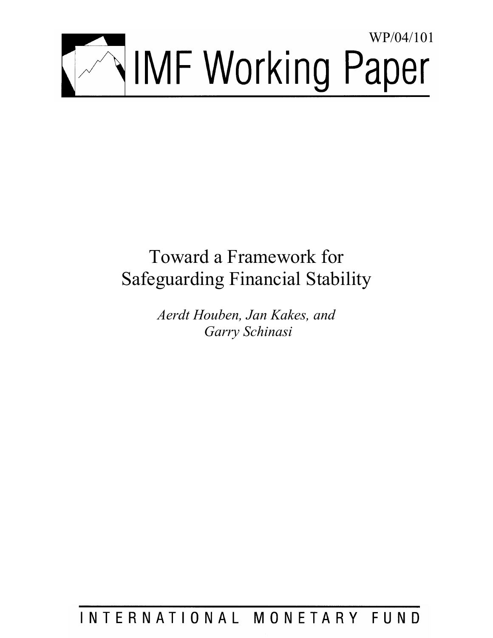

# Toward a Framework for Safeguarding Financial Stability

*Aerdt Houben, Jan Kakes, and Garry Schinasi* 

# INTERNATIONAL MONETARY FUND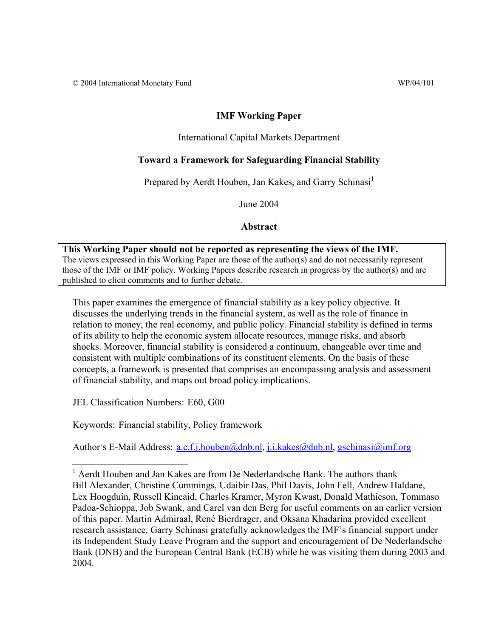### **IMF Working Paper**

#### International Capital Markets Department

#### **Toward a Framework for Safeguarding Financial Stability**

Prepared by Aerdt Houben, Jan Kakes, and Garry Schinasi<sup>1</sup>

June 2004

#### **Abstract**

**This Working Paper should not be reported as representing the views of the IMF.** The views expressed in this Working Paper are those of the author(s) and do not necessarily represent those of the IMF or IMF policy. Working Papers describe research in progress by the author(s) and are published to elicit comments and to further debate.

This paper examines the emergence of financial stability as a key policy objective. It discusses the underlying trends in the financial system, as well as the role of finance in relation to money, the real economy, and public policy. Financial stability is defined in terms of its ability to help the economic system allocate resources, manage risks, and absorb shocks. Moreover, financial stability is considered a continuum, changeable over time and consistent with multiple combinations of its constituent elements. On the basis of these concepts, a framework is presented that comprises an encompassing analysis and assessment of financial stability, and maps out broad policy implications.

JEL Classification Numbers: E60, G00

<u>.</u>

Keywords: Financial stability, Policy framework

Author's E-Mail Address: a.c.f.j.houben@dnb.nl, j.i.kakes@dnb.nl, gschinasi@imf.org

<sup>&</sup>lt;sup>1</sup> Aerdt Houben and Jan Kakes are from De Nederlandsche Bank. The authors thank Bill Alexander, Christine Cummings, Udaibir Das, Phil Davis, John Fell, Andrew Haldane, Lex Hoogduin, Russell Kincaid, Charles Kramer, Myron Kwast, Donald Mathieson, Tommaso Padoa-Schioppa, Job Swank, and Carel van den Berg for useful comments on an earlier version of this paper. Martin Admiraal, René Bierdrager, and Oksana Khadarina provided excellent research assistance. Garry Schinasi gratefully acknowledges the IMF's financial support under its Independent Study Leave Program and the support and encouragement of De Nederlandsche Bank (DNB) and the European Central Bank (ECB) while he was visiting them during 2003 and 2004.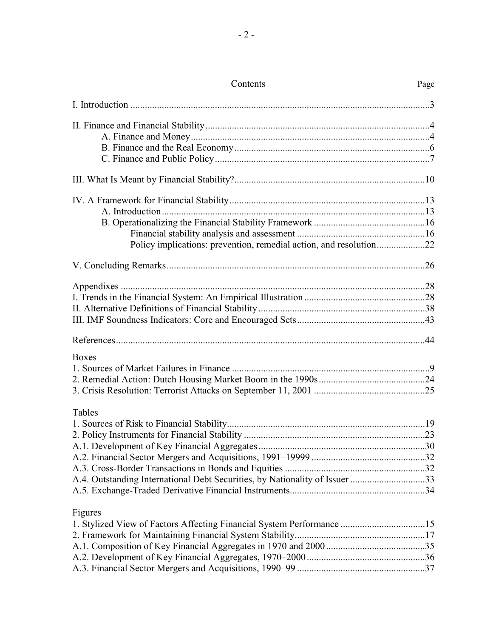| Policy implications: prevention, remedial action, and resolution22          |  |
|-----------------------------------------------------------------------------|--|
|                                                                             |  |
|                                                                             |  |
|                                                                             |  |
|                                                                             |  |
|                                                                             |  |
|                                                                             |  |
| <b>Boxes</b>                                                                |  |
|                                                                             |  |
|                                                                             |  |
|                                                                             |  |
| Tables                                                                      |  |
|                                                                             |  |
|                                                                             |  |
|                                                                             |  |
|                                                                             |  |
|                                                                             |  |
| A.4. Outstanding International Debt Securities, by Nationality of Issuer 33 |  |
|                                                                             |  |
| Figures                                                                     |  |
| 1. Stylized View of Factors Affecting Financial System Performance 15       |  |
|                                                                             |  |
|                                                                             |  |
|                                                                             |  |
|                                                                             |  |

# Contents Page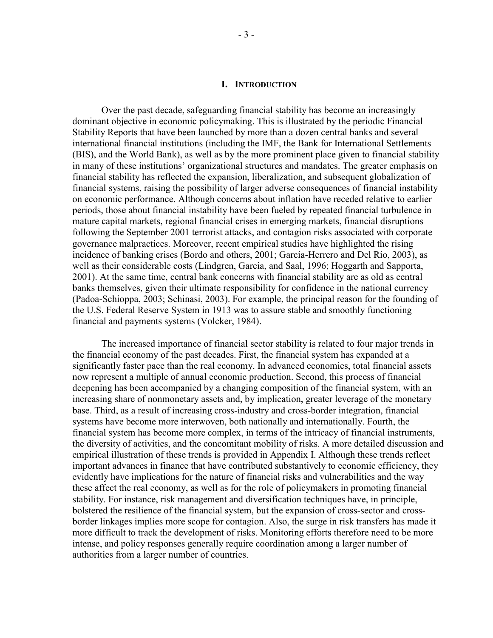#### **I. INTRODUCTION**

Over the past decade, safeguarding financial stability has become an increasingly dominant objective in economic policymaking. This is illustrated by the periodic Financial Stability Reports that have been launched by more than a dozen central banks and several international financial institutions (including the IMF, the Bank for International Settlements (BIS), and the World Bank), as well as by the more prominent place given to financial stability in many of these institutions' organizational structures and mandates. The greater emphasis on financial stability has reflected the expansion, liberalization, and subsequent globalization of financial systems, raising the possibility of larger adverse consequences of financial instability on economic performance. Although concerns about inflation have receded relative to earlier periods, those about financial instability have been fueled by repeated financial turbulence in mature capital markets, regional financial crises in emerging markets, financial disruptions following the September 2001 terrorist attacks, and contagion risks associated with corporate governance malpractices. Moreover, recent empirical studies have highlighted the rising incidence of banking crises (Bordo and others, 2001; García-Herrero and Del Río, 2003), as well as their considerable costs (Lindgren, Garcia, and Saal, 1996; Hoggarth and Sapporta, 2001). At the same time, central bank concerns with financial stability are as old as central banks themselves, given their ultimate responsibility for confidence in the national currency (Padoa-Schioppa, 2003; Schinasi, 2003). For example, the principal reason for the founding of the U.S. Federal Reserve System in 1913 was to assure stable and smoothly functioning financial and payments systems (Volcker, 1984).

The increased importance of financial sector stability is related to four major trends in the financial economy of the past decades. First, the financial system has expanded at a significantly faster pace than the real economy. In advanced economies, total financial assets now represent a multiple of annual economic production. Second, this process of financial deepening has been accompanied by a changing composition of the financial system, with an increasing share of nonmonetary assets and, by implication, greater leverage of the monetary base. Third, as a result of increasing cross-industry and cross-border integration, financial systems have become more interwoven, both nationally and internationally. Fourth, the financial system has become more complex, in terms of the intricacy of financial instruments, the diversity of activities, and the concomitant mobility of risks. A more detailed discussion and empirical illustration of these trends is provided in Appendix I. Although these trends reflect important advances in finance that have contributed substantively to economic efficiency, they evidently have implications for the nature of financial risks and vulnerabilities and the way these affect the real economy, as well as for the role of policymakers in promoting financial stability. For instance, risk management and diversification techniques have, in principle, bolstered the resilience of the financial system, but the expansion of cross-sector and crossborder linkages implies more scope for contagion. Also, the surge in risk transfers has made it more difficult to track the development of risks. Monitoring efforts therefore need to be more intense, and policy responses generally require coordination among a larger number of authorities from a larger number of countries.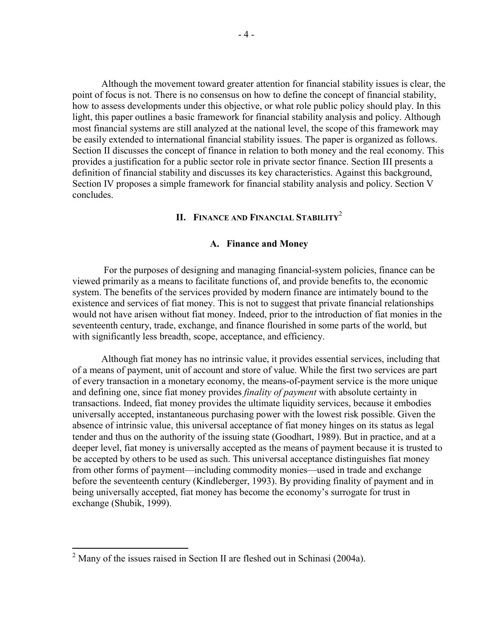Although the movement toward greater attention for financial stability issues is clear, the point of focus is not. There is no consensus on how to define the concept of financial stability, how to assess developments under this objective, or what role public policy should play. In this light, this paper outlines a basic framework for financial stability analysis and policy. Although most financial systems are still analyzed at the national level, the scope of this framework may be easily extended to international financial stability issues. The paper is organized as follows. Section II discusses the concept of finance in relation to both money and the real economy. This provides a justification for a public sector role in private sector finance. Section III presents a definition of financial stability and discusses its key characteristics. Against this background, Section IV proposes a simple framework for financial stability analysis and policy. Section V concludes.

### **II. FINANCE AND FINANCIAL STABILITY<sup>2</sup>**

#### **A. Finance and Money**

 For the purposes of designing and managing financial-system policies, finance can be viewed primarily as a means to facilitate functions of, and provide benefits to, the economic system. The benefits of the services provided by modern finance are intimately bound to the existence and services of fiat money. This is not to suggest that private financial relationships would not have arisen without fiat money. Indeed, prior to the introduction of fiat monies in the seventeenth century, trade, exchange, and finance flourished in some parts of the world, but with significantly less breadth, scope, acceptance, and efficiency.

Although fiat money has no intrinsic value, it provides essential services, including that of a means of payment, unit of account and store of value. While the first two services are part of every transaction in a monetary economy, the means-of-payment service is the more unique and defining one, since fiat money provides *finality of payment* with absolute certainty in transactions. Indeed, fiat money provides the ultimate liquidity services, because it embodies universally accepted, instantaneous purchasing power with the lowest risk possible. Given the absence of intrinsic value, this universal acceptance of fiat money hinges on its status as legal tender and thus on the authority of the issuing state (Goodhart, 1989). But in practice, and at a deeper level, fiat money is universally accepted as the means of payment because it is trusted to be accepted by others to be used as such. This universal acceptance distinguishes fiat money from other forms of payment—including commodity monies—used in trade and exchange before the seventeenth century (Kindleberger, 1993). By providing finality of payment and in being universally accepted, fiat money has become the economy's surrogate for trust in exchange (Shubik, 1999).

<sup>&</sup>lt;sup>2</sup> Many of the issues raised in Section II are fleshed out in Schinasi (2004a).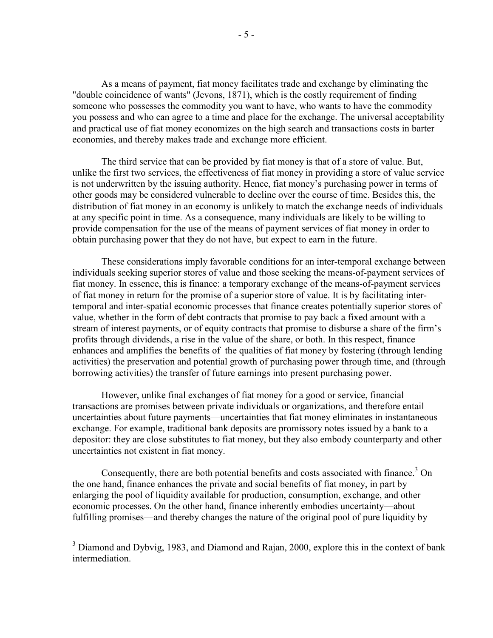As a means of payment, fiat money facilitates trade and exchange by eliminating the "double coincidence of wants" (Jevons, 1871), which is the costly requirement of finding someone who possesses the commodity you want to have, who wants to have the commodity you possess and who can agree to a time and place for the exchange. The universal acceptability and practical use of fiat money economizes on the high search and transactions costs in barter economies, and thereby makes trade and exchange more efficient.

The third service that can be provided by fiat money is that of a store of value. But, unlike the first two services, the effectiveness of fiat money in providing a store of value service is not underwritten by the issuing authority. Hence, fiat money's purchasing power in terms of other goods may be considered vulnerable to decline over the course of time. Besides this, the distribution of fiat money in an economy is unlikely to match the exchange needs of individuals at any specific point in time. As a consequence, many individuals are likely to be willing to provide compensation for the use of the means of payment services of fiat money in order to obtain purchasing power that they do not have, but expect to earn in the future.

These considerations imply favorable conditions for an inter-temporal exchange between individuals seeking superior stores of value and those seeking the means-of-payment services of fiat money. In essence, this is finance: a temporary exchange of the means-of-payment services of fiat money in return for the promise of a superior store of value. It is by facilitating intertemporal and inter-spatial economic processes that finance creates potentially superior stores of value, whether in the form of debt contracts that promise to pay back a fixed amount with a stream of interest payments, or of equity contracts that promise to disburse a share of the firm's profits through dividends, a rise in the value of the share, or both. In this respect, finance enhances and amplifies the benefits of the qualities of fiat money by fostering (through lending activities) the preservation and potential growth of purchasing power through time, and (through borrowing activities) the transfer of future earnings into present purchasing power.

However, unlike final exchanges of fiat money for a good or service, financial transactions are promises between private individuals or organizations, and therefore entail uncertainties about future payments—uncertainties that fiat money eliminates in instantaneous exchange. For example, traditional bank deposits are promissory notes issued by a bank to a depositor: they are close substitutes to fiat money, but they also embody counterparty and other uncertainties not existent in fiat money.

Consequently, there are both potential benefits and costs associated with finance.<sup>3</sup> On the one hand, finance enhances the private and social benefits of fiat money, in part by enlarging the pool of liquidity available for production, consumption, exchange, and other economic processes. On the other hand, finance inherently embodies uncertainty—about fulfilling promises—and thereby changes the nature of the original pool of pure liquidity by

<sup>&</sup>lt;sup>3</sup> Diamond and Dybvig, 1983, and Diamond and Rajan, 2000, explore this in the context of bank intermediation.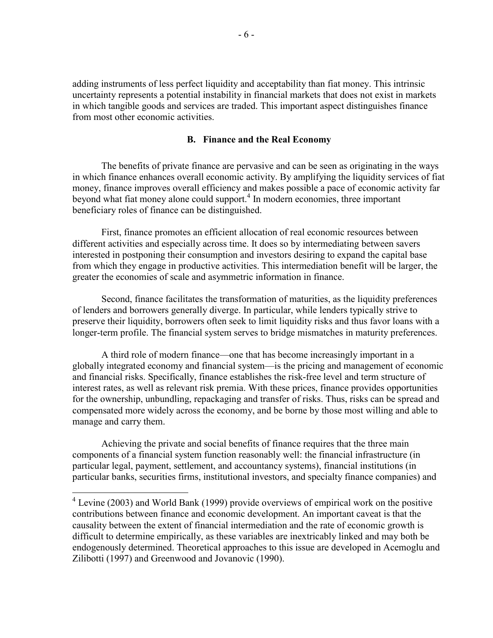adding instruments of less perfect liquidity and acceptability than fiat money. This intrinsic uncertainty represents a potential instability in financial markets that does not exist in markets in which tangible goods and services are traded. This important aspect distinguishes finance from most other economic activities.

#### **B. Finance and the Real Economy**

The benefits of private finance are pervasive and can be seen as originating in the ways in which finance enhances overall economic activity. By amplifying the liquidity services of fiat money, finance improves overall efficiency and makes possible a pace of economic activity far beyond what fiat money alone could support.<sup>4</sup> In modern economies, three important beneficiary roles of finance can be distinguished.

First, finance promotes an efficient allocation of real economic resources between different activities and especially across time. It does so by intermediating between savers interested in postponing their consumption and investors desiring to expand the capital base from which they engage in productive activities. This intermediation benefit will be larger, the greater the economies of scale and asymmetric information in finance.

Second, finance facilitates the transformation of maturities, as the liquidity preferences of lenders and borrowers generally diverge. In particular, while lenders typically strive to preserve their liquidity, borrowers often seek to limit liquidity risks and thus favor loans with a longer-term profile. The financial system serves to bridge mismatches in maturity preferences.

A third role of modern finance—one that has become increasingly important in a globally integrated economy and financial system—is the pricing and management of economic and financial risks. Specifically, finance establishes the risk-free level and term structure of interest rates, as well as relevant risk premia. With these prices, finance provides opportunities for the ownership, unbundling, repackaging and transfer of risks. Thus, risks can be spread and compensated more widely across the economy, and be borne by those most willing and able to manage and carry them.

Achieving the private and social benefits of finance requires that the three main components of a financial system function reasonably well: the financial infrastructure (in particular legal, payment, settlement, and accountancy systems), financial institutions (in particular banks, securities firms, institutional investors, and specialty finance companies) and

<sup>&</sup>lt;sup>4</sup> Levine (2003) and World Bank (1999) provide overviews of empirical work on the positive contributions between finance and economic development. An important caveat is that the causality between the extent of financial intermediation and the rate of economic growth is difficult to determine empirically, as these variables are inextricably linked and may both be endogenously determined. Theoretical approaches to this issue are developed in Acemoglu and Zilibotti (1997) and Greenwood and Jovanovic (1990).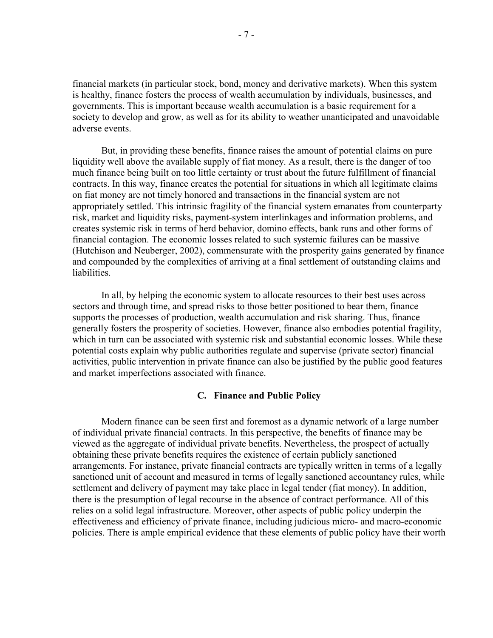financial markets (in particular stock, bond, money and derivative markets). When this system is healthy, finance fosters the process of wealth accumulation by individuals, businesses, and governments. This is important because wealth accumulation is a basic requirement for a society to develop and grow, as well as for its ability to weather unanticipated and unavoidable adverse events.

But, in providing these benefits, finance raises the amount of potential claims on pure liquidity well above the available supply of fiat money. As a result, there is the danger of too much finance being built on too little certainty or trust about the future fulfillment of financial contracts. In this way, finance creates the potential for situations in which all legitimate claims on fiat money are not timely honored and transactions in the financial system are not appropriately settled. This intrinsic fragility of the financial system emanates from counterparty risk, market and liquidity risks, payment-system interlinkages and information problems, and creates systemic risk in terms of herd behavior, domino effects, bank runs and other forms of financial contagion. The economic losses related to such systemic failures can be massive (Hutchison and Neuberger, 2002), commensurate with the prosperity gains generated by finance and compounded by the complexities of arriving at a final settlement of outstanding claims and liabilities.

In all, by helping the economic system to allocate resources to their best uses across sectors and through time, and spread risks to those better positioned to bear them, finance supports the processes of production, wealth accumulation and risk sharing. Thus, finance generally fosters the prosperity of societies. However, finance also embodies potential fragility, which in turn can be associated with systemic risk and substantial economic losses. While these potential costs explain why public authorities regulate and supervise (private sector) financial activities, public intervention in private finance can also be justified by the public good features and market imperfections associated with finance.

#### **C. Finance and Public Policy**

Modern finance can be seen first and foremost as a dynamic network of a large number of individual private financial contracts. In this perspective, the benefits of finance may be viewed as the aggregate of individual private benefits. Nevertheless, the prospect of actually obtaining these private benefits requires the existence of certain publicly sanctioned arrangements. For instance, private financial contracts are typically written in terms of a legally sanctioned unit of account and measured in terms of legally sanctioned accountancy rules, while settlement and delivery of payment may take place in legal tender (fiat money). In addition, there is the presumption of legal recourse in the absence of contract performance. All of this relies on a solid legal infrastructure. Moreover, other aspects of public policy underpin the effectiveness and efficiency of private finance, including judicious micro- and macro-economic policies. There is ample empirical evidence that these elements of public policy have their worth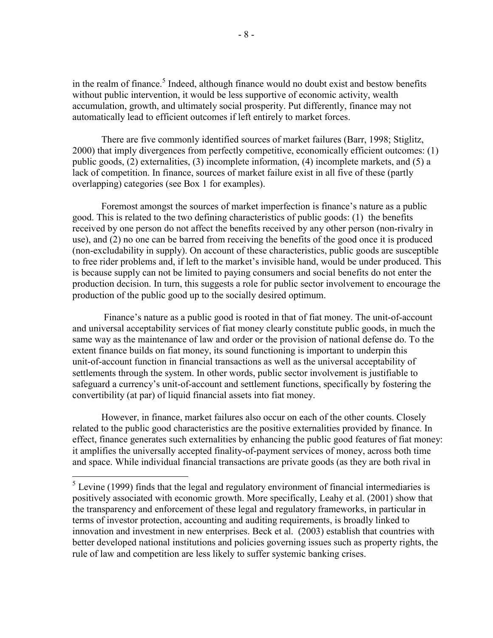in the realm of finance.<sup>5</sup> Indeed, although finance would no doubt exist and bestow benefits without public intervention, it would be less supportive of economic activity, wealth accumulation, growth, and ultimately social prosperity. Put differently, finance may not automatically lead to efficient outcomes if left entirely to market forces.

There are five commonly identified sources of market failures (Barr, 1998; Stiglitz, 2000) that imply divergences from perfectly competitive, economically efficient outcomes: (1) public goods, (2) externalities, (3) incomplete information, (4) incomplete markets, and (5) a lack of competition. In finance, sources of market failure exist in all five of these (partly overlapping) categories (see Box 1 for examples).

Foremost amongst the sources of market imperfection is finance's nature as a public good. This is related to the two defining characteristics of public goods: (1) the benefits received by one person do not affect the benefits received by any other person (non-rivalry in use), and (2) no one can be barred from receiving the benefits of the good once it is produced (non-excludability in supply). On account of these characteristics, public goods are susceptible to free rider problems and, if left to the market's invisible hand, would be under produced. This is because supply can not be limited to paying consumers and social benefits do not enter the production decision. In turn, this suggests a role for public sector involvement to encourage the production of the public good up to the socially desired optimum.

 Finance's nature as a public good is rooted in that of fiat money. The unit-of-account and universal acceptability services of fiat money clearly constitute public goods, in much the same way as the maintenance of law and order or the provision of national defense do. To the extent finance builds on fiat money, its sound functioning is important to underpin this unit-of-account function in financial transactions as well as the universal acceptability of settlements through the system. In other words, public sector involvement is justifiable to safeguard a currency's unit-of-account and settlement functions, specifically by fostering the convertibility (at par) of liquid financial assets into fiat money.

However, in finance, market failures also occur on each of the other counts. Closely related to the public good characteristics are the positive externalities provided by finance. In effect, finance generates such externalities by enhancing the public good features of fiat money: it amplifies the universally accepted finality-of-payment services of money, across both time and space. While individual financial transactions are private goods (as they are both rival in

1

 $<sup>5</sup>$  Levine (1999) finds that the legal and regulatory environment of financial intermediaries is</sup> positively associated with economic growth. More specifically, Leahy et al. (2001) show that the transparency and enforcement of these legal and regulatory frameworks, in particular in terms of investor protection, accounting and auditing requirements, is broadly linked to innovation and investment in new enterprises. Beck et al. (2003) establish that countries with better developed national institutions and policies governing issues such as property rights, the rule of law and competition are less likely to suffer systemic banking crises.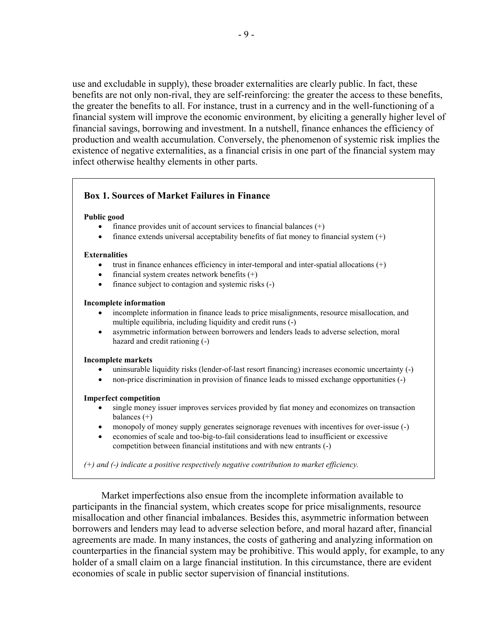use and excludable in supply), these broader externalities are clearly public. In fact, these benefits are not only non-rival, they are self-reinforcing: the greater the access to these benefits, the greater the benefits to all. For instance, trust in a currency and in the well-functioning of a financial system will improve the economic environment, by eliciting a generally higher level of financial savings, borrowing and investment. In a nutshell, finance enhances the efficiency of production and wealth accumulation. Conversely, the phenomenon of systemic risk implies the existence of negative externalities, as a financial crisis in one part of the financial system may infect otherwise healthy elements in other parts.

### **Box 1. Sources of Market Failures in Finance**

#### **Public good**

- finance provides unit of account services to financial balances  $(+)$
- finance extends universal acceptability benefits of fiat money to financial system  $(+)$

#### **Externalities**

- trust in finance enhances efficiency in inter-temporal and inter-spatial allocations  $(+)$
- financial system creates network benefits  $(+)$
- finance subject to contagion and systemic risks (-)

#### **Incomplete information**

- incomplete information in finance leads to price misalignments, resource misallocation, and multiple equilibria, including liquidity and credit runs (-)
- asymmetric information between borrowers and lenders leads to adverse selection, moral hazard and credit rationing (-)

#### **Incomplete markets**

- uninsurable liquidity risks (lender-of-last resort financing) increases economic uncertainty (-)
- non-price discrimination in provision of finance leads to missed exchange opportunities (-)

#### **Imperfect competition**

- single money issuer improves services provided by fiat money and economizes on transaction balances (+)
- monopoly of money supply generates seignorage revenues with incentives for over-issue (-)
- economies of scale and too-big-to-fail considerations lead to insufficient or excessive competition between financial institutions and with new entrants (-)

*(+) and (-) indicate a positive respectively negative contribution to market efficiency.* 

Market imperfections also ensue from the incomplete information available to participants in the financial system, which creates scope for price misalignments, resource misallocation and other financial imbalances. Besides this, asymmetric information between borrowers and lenders may lead to adverse selection before, and moral hazard after, financial agreements are made. In many instances, the costs of gathering and analyzing information on counterparties in the financial system may be prohibitive. This would apply, for example, to any holder of a small claim on a large financial institution. In this circumstance, there are evident economies of scale in public sector supervision of financial institutions.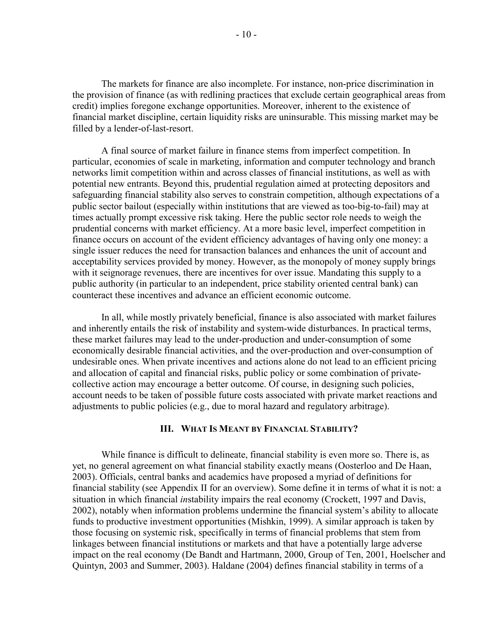The markets for finance are also incomplete. For instance, non-price discrimination in the provision of finance (as with redlining practices that exclude certain geographical areas from credit) implies foregone exchange opportunities. Moreover, inherent to the existence of financial market discipline, certain liquidity risks are uninsurable. This missing market may be filled by a lender-of-last-resort.

A final source of market failure in finance stems from imperfect competition. In particular, economies of scale in marketing, information and computer technology and branch networks limit competition within and across classes of financial institutions, as well as with potential new entrants. Beyond this, prudential regulation aimed at protecting depositors and safeguarding financial stability also serves to constrain competition, although expectations of a public sector bailout (especially within institutions that are viewed as too-big-to-fail) may at times actually prompt excessive risk taking. Here the public sector role needs to weigh the prudential concerns with market efficiency. At a more basic level, imperfect competition in finance occurs on account of the evident efficiency advantages of having only one money: a single issuer reduces the need for transaction balances and enhances the unit of account and acceptability services provided by money. However, as the monopoly of money supply brings with it seignorage revenues, there are incentives for over issue. Mandating this supply to a public authority (in particular to an independent, price stability oriented central bank) can counteract these incentives and advance an efficient economic outcome.

In all, while mostly privately beneficial, finance is also associated with market failures and inherently entails the risk of instability and system-wide disturbances. In practical terms, these market failures may lead to the under-production and under-consumption of some economically desirable financial activities, and the over-production and over-consumption of undesirable ones. When private incentives and actions alone do not lead to an efficient pricing and allocation of capital and financial risks, public policy or some combination of privatecollective action may encourage a better outcome. Of course, in designing such policies, account needs to be taken of possible future costs associated with private market reactions and adjustments to public policies (e.g., due to moral hazard and regulatory arbitrage).

#### **III. WHAT IS MEANT BY FINANCIAL STABILITY?**

While finance is difficult to delineate, financial stability is even more so. There is, as yet, no general agreement on what financial stability exactly means (Oosterloo and De Haan, 2003). Officials, central banks and academics have proposed a myriad of definitions for financial stability (see Appendix II for an overview). Some define it in terms of what it is not: a situation in which financial *in*stability impairs the real economy (Crockett, 1997 and Davis, 2002), notably when information problems undermine the financial system's ability to allocate funds to productive investment opportunities (Mishkin, 1999). A similar approach is taken by those focusing on systemic risk, specifically in terms of financial problems that stem from linkages between financial institutions or markets and that have a potentially large adverse impact on the real economy (De Bandt and Hartmann, 2000, Group of Ten, 2001, Hoelscher and Quintyn, 2003 and Summer, 2003). Haldane (2004) defines financial stability in terms of a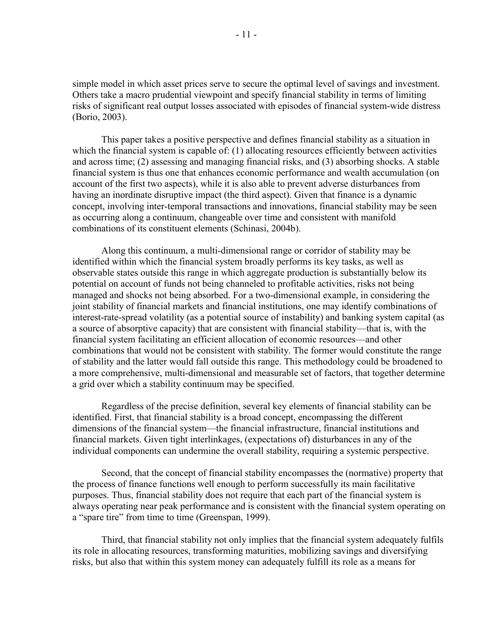simple model in which asset prices serve to secure the optimal level of savings and investment. Others take a macro prudential viewpoint and specify financial stability in terms of limiting risks of significant real output losses associated with episodes of financial system-wide distress (Borio, 2003).

This paper takes a positive perspective and defines financial stability as a situation in which the financial system is capable of: (1) allocating resources efficiently between activities and across time; (2) assessing and managing financial risks, and (3) absorbing shocks. A stable financial system is thus one that enhances economic performance and wealth accumulation (on account of the first two aspects), while it is also able to prevent adverse disturbances from having an inordinate disruptive impact (the third aspect). Given that finance is a dynamic concept, involving inter-temporal transactions and innovations, financial stability may be seen as occurring along a continuum, changeable over time and consistent with manifold combinations of its constituent elements (Schinasi, 2004b).

Along this continuum, a multi-dimensional range or corridor of stability may be identified within which the financial system broadly performs its key tasks, as well as observable states outside this range in which aggregate production is substantially below its potential on account of funds not being channeled to profitable activities, risks not being managed and shocks not being absorbed. For a two-dimensional example, in considering the joint stability of financial markets and financial institutions, one may identify combinations of interest-rate-spread volatility (as a potential source of instability) and banking system capital (as a source of absorptive capacity) that are consistent with financial stability—that is, with the financial system facilitating an efficient allocation of economic resources—and other combinations that would not be consistent with stability. The former would constitute the range of stability and the latter would fall outside this range. This methodology could be broadened to a more comprehensive, multi-dimensional and measurable set of factors, that together determine a grid over which a stability continuum may be specified.

Regardless of the precise definition, several key elements of financial stability can be identified. First, that financial stability is a broad concept, encompassing the different dimensions of the financial system—the financial infrastructure, financial institutions and financial markets. Given tight interlinkages, (expectations of) disturbances in any of the individual components can undermine the overall stability, requiring a systemic perspective.

Second, that the concept of financial stability encompasses the (normative) property that the process of finance functions well enough to perform successfully its main facilitative purposes. Thus, financial stability does not require that each part of the financial system is always operating near peak performance and is consistent with the financial system operating on a "spare tire" from time to time (Greenspan, 1999).

Third, that financial stability not only implies that the financial system adequately fulfils its role in allocating resources, transforming maturities, mobilizing savings and diversifying risks, but also that within this system money can adequately fulfill its role as a means for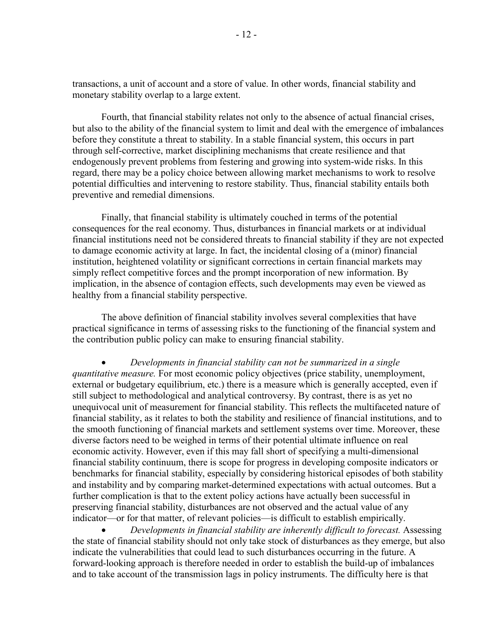transactions, a unit of account and a store of value. In other words, financial stability and monetary stability overlap to a large extent.

Fourth, that financial stability relates not only to the absence of actual financial crises, but also to the ability of the financial system to limit and deal with the emergence of imbalances before they constitute a threat to stability. In a stable financial system, this occurs in part through self-corrective, market disciplining mechanisms that create resilience and that endogenously prevent problems from festering and growing into system-wide risks. In this regard, there may be a policy choice between allowing market mechanisms to work to resolve potential difficulties and intervening to restore stability. Thus, financial stability entails both preventive and remedial dimensions.

Finally, that financial stability is ultimately couched in terms of the potential consequences for the real economy. Thus, disturbances in financial markets or at individual financial institutions need not be considered threats to financial stability if they are not expected to damage economic activity at large. In fact, the incidental closing of a (minor) financial institution, heightened volatility or significant corrections in certain financial markets may simply reflect competitive forces and the prompt incorporation of new information. By implication, in the absence of contagion effects, such developments may even be viewed as healthy from a financial stability perspective.

The above definition of financial stability involves several complexities that have practical significance in terms of assessing risks to the functioning of the financial system and the contribution public policy can make to ensuring financial stability.

• *Developments in financial stability can not be summarized in a single quantitative measure.* For most economic policy objectives (price stability, unemployment, external or budgetary equilibrium, etc.) there is a measure which is generally accepted, even if still subject to methodological and analytical controversy. By contrast, there is as yet no unequivocal unit of measurement for financial stability. This reflects the multifaceted nature of financial stability, as it relates to both the stability and resilience of financial institutions, and to the smooth functioning of financial markets and settlement systems over time. Moreover, these diverse factors need to be weighed in terms of their potential ultimate influence on real economic activity. However, even if this may fall short of specifying a multi-dimensional financial stability continuum, there is scope for progress in developing composite indicators or benchmarks for financial stability, especially by considering historical episodes of both stability and instability and by comparing market-determined expectations with actual outcomes. But a further complication is that to the extent policy actions have actually been successful in preserving financial stability, disturbances are not observed and the actual value of any indicator—or for that matter, of relevant policies—is difficult to establish empirically.

• *Developments in financial stability are inherently difficult to forecast.* Assessing the state of financial stability should not only take stock of disturbances as they emerge, but also indicate the vulnerabilities that could lead to such disturbances occurring in the future. A forward-looking approach is therefore needed in order to establish the build-up of imbalances and to take account of the transmission lags in policy instruments. The difficulty here is that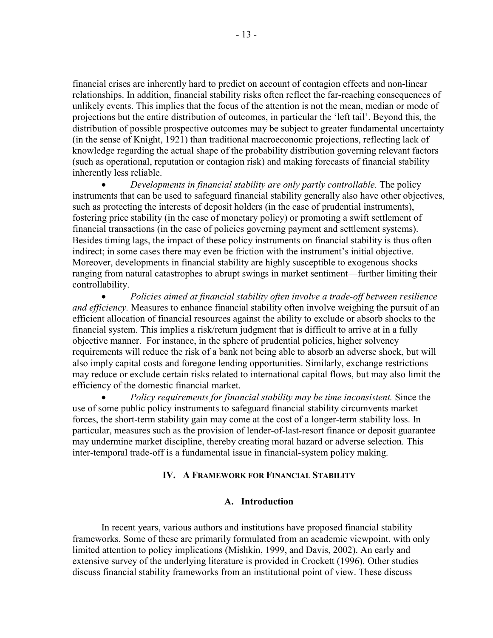financial crises are inherently hard to predict on account of contagion effects and non-linear relationships. In addition, financial stability risks often reflect the far-reaching consequences of unlikely events. This implies that the focus of the attention is not the mean, median or mode of projections but the entire distribution of outcomes, in particular the 'left tail'. Beyond this, the distribution of possible prospective outcomes may be subject to greater fundamental uncertainty (in the sense of Knight, 1921) than traditional macroeconomic projections, reflecting lack of knowledge regarding the actual shape of the probability distribution governing relevant factors (such as operational, reputation or contagion risk) and making forecasts of financial stability inherently less reliable.

• *Developments in financial stability are only partly controllable.* The policy instruments that can be used to safeguard financial stability generally also have other objectives, such as protecting the interests of deposit holders (in the case of prudential instruments), fostering price stability (in the case of monetary policy) or promoting a swift settlement of financial transactions (in the case of policies governing payment and settlement systems). Besides timing lags, the impact of these policy instruments on financial stability is thus often indirect; in some cases there may even be friction with the instrument's initial objective. Moreover, developments in financial stability are highly susceptible to exogenous shocks ranging from natural catastrophes to abrupt swings in market sentiment—further limiting their controllability.

• *Policies aimed at financial stability often involve a trade-off between resilience and efficiency.* Measures to enhance financial stability often involve weighing the pursuit of an efficient allocation of financial resources against the ability to exclude or absorb shocks to the financial system. This implies a risk/return judgment that is difficult to arrive at in a fully objective manner. For instance, in the sphere of prudential policies, higher solvency requirements will reduce the risk of a bank not being able to absorb an adverse shock, but will also imply capital costs and foregone lending opportunities. Similarly, exchange restrictions may reduce or exclude certain risks related to international capital flows, but may also limit the efficiency of the domestic financial market.

• *Policy requirements for financial stability may be time inconsistent.* Since the use of some public policy instruments to safeguard financial stability circumvents market forces, the short-term stability gain may come at the cost of a longer-term stability loss. In particular, measures such as the provision of lender-of-last-resort finance or deposit guarantee may undermine market discipline, thereby creating moral hazard or adverse selection. This inter-temporal trade-off is a fundamental issue in financial-system policy making.

#### **IV. A FRAMEWORK FOR FINANCIAL STABILITY**

#### **A. Introduction**

In recent years, various authors and institutions have proposed financial stability frameworks. Some of these are primarily formulated from an academic viewpoint, with only limited attention to policy implications (Mishkin, 1999, and Davis, 2002). An early and extensive survey of the underlying literature is provided in Crockett (1996). Other studies discuss financial stability frameworks from an institutional point of view. These discuss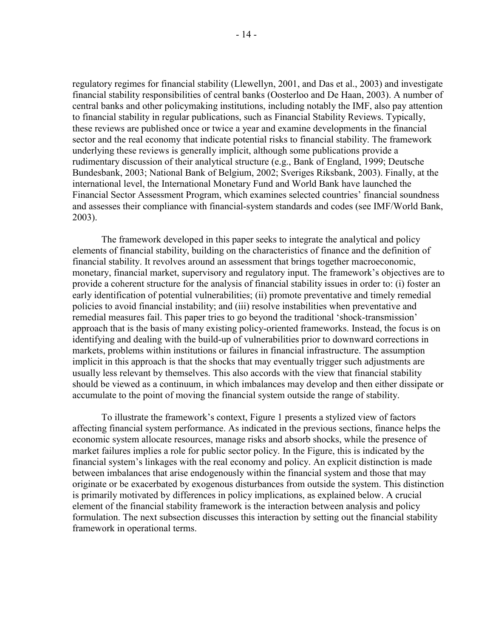regulatory regimes for financial stability (Llewellyn, 2001, and Das et al., 2003) and investigate financial stability responsibilities of central banks (Oosterloo and De Haan, 2003). A number of central banks and other policymaking institutions, including notably the IMF, also pay attention to financial stability in regular publications, such as Financial Stability Reviews. Typically, these reviews are published once or twice a year and examine developments in the financial sector and the real economy that indicate potential risks to financial stability. The framework underlying these reviews is generally implicit, although some publications provide a rudimentary discussion of their analytical structure (e.g., Bank of England, 1999; Deutsche Bundesbank, 2003; National Bank of Belgium, 2002; Sveriges Riksbank, 2003). Finally, at the international level, the International Monetary Fund and World Bank have launched the Financial Sector Assessment Program, which examines selected countries' financial soundness and assesses their compliance with financial-system standards and codes (see IMF/World Bank, 2003).

The framework developed in this paper seeks to integrate the analytical and policy elements of financial stability, building on the characteristics of finance and the definition of financial stability. It revolves around an assessment that brings together macroeconomic, monetary, financial market, supervisory and regulatory input. The framework's objectives are to provide a coherent structure for the analysis of financial stability issues in order to: (i) foster an early identification of potential vulnerabilities; (ii) promote preventative and timely remedial policies to avoid financial instability; and (iii) resolve instabilities when preventative and remedial measures fail. This paper tries to go beyond the traditional 'shock-transmission' approach that is the basis of many existing policy-oriented frameworks. Instead, the focus is on identifying and dealing with the build-up of vulnerabilities prior to downward corrections in markets, problems within institutions or failures in financial infrastructure. The assumption implicit in this approach is that the shocks that may eventually trigger such adjustments are usually less relevant by themselves. This also accords with the view that financial stability should be viewed as a continuum, in which imbalances may develop and then either dissipate or accumulate to the point of moving the financial system outside the range of stability.

To illustrate the framework's context, Figure 1 presents a stylized view of factors affecting financial system performance. As indicated in the previous sections, finance helps the economic system allocate resources, manage risks and absorb shocks, while the presence of market failures implies a role for public sector policy. In the Figure, this is indicated by the financial system's linkages with the real economy and policy. An explicit distinction is made between imbalances that arise endogenously within the financial system and those that may originate or be exacerbated by exogenous disturbances from outside the system. This distinction is primarily motivated by differences in policy implications, as explained below. A crucial element of the financial stability framework is the interaction between analysis and policy formulation. The next subsection discusses this interaction by setting out the financial stability framework in operational terms.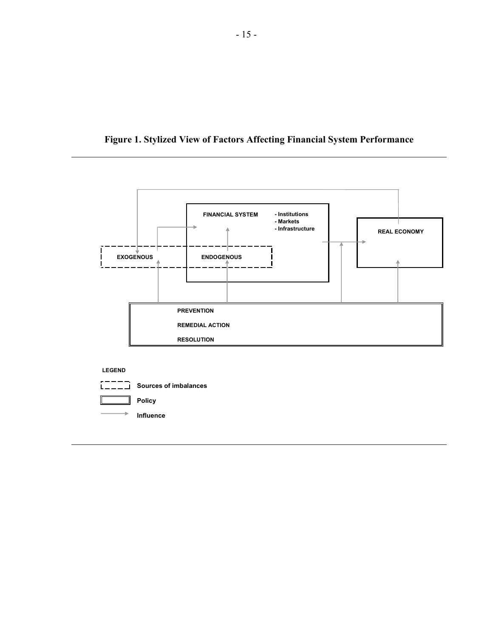

**Figure 1. Stylized View of Factors Affecting Financial System Performance**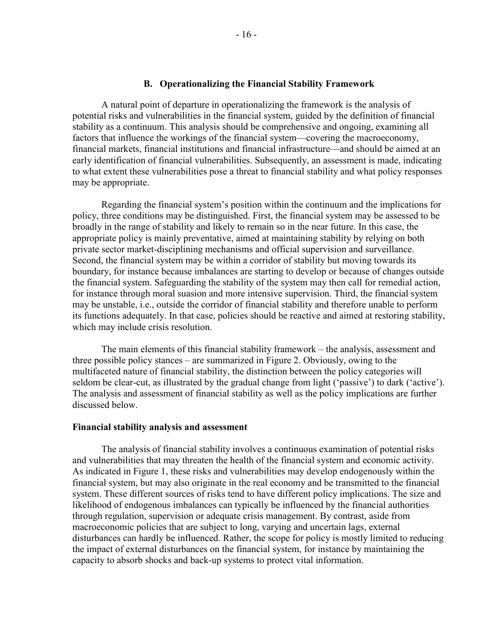#### **B. Operationalizing the Financial Stability Framework**

A natural point of departure in operationalizing the framework is the analysis of potential risks and vulnerabilities in the financial system, guided by the definition of financial stability as a continuum. This analysis should be comprehensive and ongoing, examining all factors that influence the workings of the financial system—covering the macroeconomy, financial markets, financial institutions and financial infrastructure—and should be aimed at an early identification of financial vulnerabilities. Subsequently, an assessment is made, indicating to what extent these vulnerabilities pose a threat to financial stability and what policy responses may be appropriate.

Regarding the financial system's position within the continuum and the implications for policy, three conditions may be distinguished. First, the financial system may be assessed to be broadly in the range of stability and likely to remain so in the near future. In this case, the appropriate policy is mainly preventative, aimed at maintaining stability by relying on both private sector market-disciplining mechanisms and official supervision and surveillance. Second, the financial system may be within a corridor of stability but moving towards its boundary, for instance because imbalances are starting to develop or because of changes outside the financial system. Safeguarding the stability of the system may then call for remedial action, for instance through moral suasion and more intensive supervision. Third, the financial system may be unstable, i.e., outside the corridor of financial stability and therefore unable to perform its functions adequately. In that case, policies should be reactive and aimed at restoring stability, which may include crisis resolution.

The main elements of this financial stability framework – the analysis, assessment and three possible policy stances – are summarized in Figure 2. Obviously, owing to the multifaceted nature of financial stability, the distinction between the policy categories will seldom be clear-cut, as illustrated by the gradual change from light ('passive') to dark ('active'). The analysis and assessment of financial stability as well as the policy implications are further discussed below.

#### **Financial stability analysis and assessment**

The analysis of financial stability involves a continuous examination of potential risks and vulnerabilities that may threaten the health of the financial system and economic activity. As indicated in Figure 1, these risks and vulnerabilities may develop endogenously within the financial system, but may also originate in the real economy and be transmitted to the financial system. These different sources of risks tend to have different policy implications. The size and likelihood of endogenous imbalances can typically be influenced by the financial authorities through regulation, supervision or adequate crisis management. By contrast, aside from macroeconomic policies that are subject to long, varying and uncertain lags, external disturbances can hardly be influenced. Rather, the scope for policy is mostly limited to reducing the impact of external disturbances on the financial system, for instance by maintaining the capacity to absorb shocks and back-up systems to protect vital information.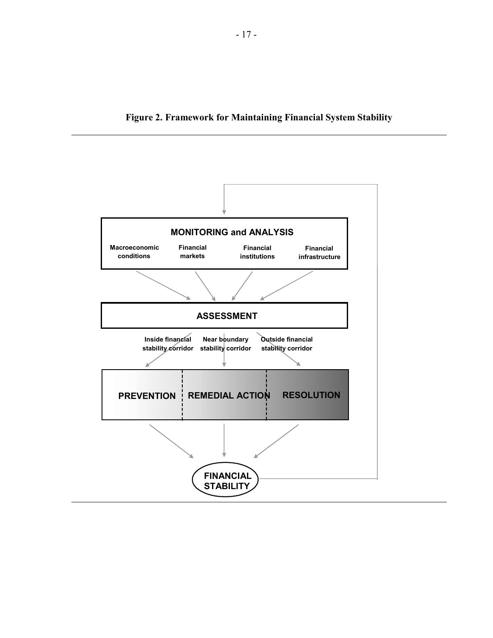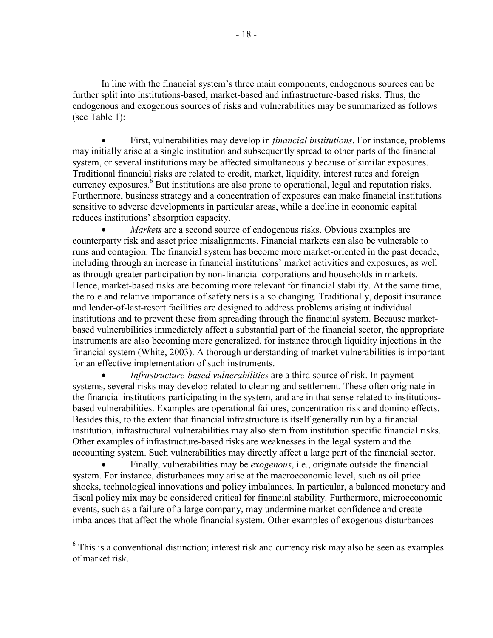In line with the financial system's three main components, endogenous sources can be further split into institutions-based, market-based and infrastructure-based risks. Thus, the endogenous and exogenous sources of risks and vulnerabilities may be summarized as follows (see Table 1):

• First, vulnerabilities may develop in *financial institutions*. For instance, problems may initially arise at a single institution and subsequently spread to other parts of the financial system, or several institutions may be affected simultaneously because of similar exposures. Traditional financial risks are related to credit, market, liquidity, interest rates and foreign currency exposures.<sup>6</sup> But institutions are also prone to operational, legal and reputation risks. Furthermore, business strategy and a concentration of exposures can make financial institutions sensitive to adverse developments in particular areas, while a decline in economic capital reduces institutions' absorption capacity.

*Markets* are a second source of endogenous risks. Obvious examples are counterparty risk and asset price misalignments. Financial markets can also be vulnerable to runs and contagion. The financial system has become more market-oriented in the past decade, including through an increase in financial institutions' market activities and exposures, as well as through greater participation by non-financial corporations and households in markets. Hence, market-based risks are becoming more relevant for financial stability. At the same time, the role and relative importance of safety nets is also changing. Traditionally, deposit insurance and lender-of-last-resort facilities are designed to address problems arising at individual institutions and to prevent these from spreading through the financial system. Because marketbased vulnerabilities immediately affect a substantial part of the financial sector, the appropriate instruments are also becoming more generalized, for instance through liquidity injections in the financial system (White, 2003). A thorough understanding of market vulnerabilities is important for an effective implementation of such instruments.

• *Infrastructure-based vulnerabilities* are a third source of risk. In payment systems, several risks may develop related to clearing and settlement. These often originate in the financial institutions participating in the system, and are in that sense related to institutionsbased vulnerabilities. Examples are operational failures, concentration risk and domino effects. Besides this, to the extent that financial infrastructure is itself generally run by a financial institution, infrastructural vulnerabilities may also stem from institution specific financial risks. Other examples of infrastructure-based risks are weaknesses in the legal system and the accounting system. Such vulnerabilities may directly affect a large part of the financial sector.

• Finally, vulnerabilities may be *exogenous*, i.e., originate outside the financial system. For instance, disturbances may arise at the macroeconomic level, such as oil price shocks, technological innovations and policy imbalances. In particular, a balanced monetary and fiscal policy mix may be considered critical for financial stability. Furthermore, microeconomic events, such as a failure of a large company, may undermine market confidence and create imbalances that affect the whole financial system. Other examples of exogenous disturbances

 $\overline{a}$ 

<sup>&</sup>lt;sup>6</sup> This is a conventional distinction; interest risk and currency risk may also be seen as examples of market risk.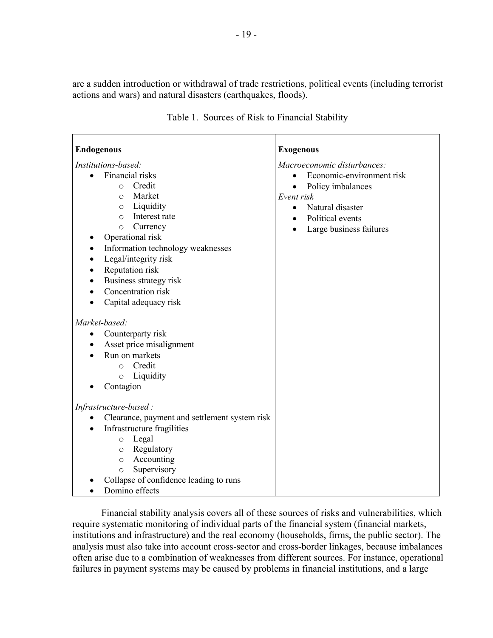are a sudden introduction or withdrawal of trade restrictions, political events (including terrorist actions and wars) and natural disasters (earthquakes, floods).

| <b>Endogenous</b>                                                                                                                                                                                                                                                                                                                                                                                    | <b>Exogenous</b>                                                                                                                                                                                 |
|------------------------------------------------------------------------------------------------------------------------------------------------------------------------------------------------------------------------------------------------------------------------------------------------------------------------------------------------------------------------------------------------------|--------------------------------------------------------------------------------------------------------------------------------------------------------------------------------------------------|
| Institutions-based:                                                                                                                                                                                                                                                                                                                                                                                  | Macroeconomic disturbances:                                                                                                                                                                      |
| Financial risks<br>$\bullet$<br>Credit<br>$\circ$<br>Market<br>$\circ$<br>Liquidity<br>$\circ$<br>Interest rate<br>$\circ$<br>Currency<br>$\circ$<br>Operational risk<br>Information technology weaknesses<br>٠<br>Legal/integrity risk<br>$\bullet$<br>Reputation risk<br>$\bullet$<br>Business strategy risk<br>$\bullet$<br>Concentration risk<br>$\bullet$<br>Capital adequacy risk<br>$\bullet$ | Economic-environment risk<br>$\bullet$<br>Policy imbalances<br>$\bullet$<br>Event risk<br>Natural disaster<br>$\bullet$<br>Political events<br>$\bullet$<br>Large business failures<br>$\bullet$ |
| Market-based:<br>Counterparty risk<br>$\bullet$<br>Asset price misalignment<br>٠<br>Run on markets<br>Credit<br>$\circ$<br>Liquidity<br>$\circ$                                                                                                                                                                                                                                                      |                                                                                                                                                                                                  |
| Contagion                                                                                                                                                                                                                                                                                                                                                                                            |                                                                                                                                                                                                  |
|                                                                                                                                                                                                                                                                                                                                                                                                      |                                                                                                                                                                                                  |
| Infrastructure-based:                                                                                                                                                                                                                                                                                                                                                                                |                                                                                                                                                                                                  |
| Clearance, payment and settlement system risk<br>Infrastructure fragilities<br>Legal<br>$\circ$<br>Regulatory<br>$\circ$<br>Accounting<br>$\circ$<br>Supervisory<br>$\circ$<br>Collapse of confidence leading to runs<br>Domino effects                                                                                                                                                              |                                                                                                                                                                                                  |

Table 1. Sources of Risk to Financial Stability

Financial stability analysis covers all of these sources of risks and vulnerabilities, which require systematic monitoring of individual parts of the financial system (financial markets, institutions and infrastructure) and the real economy (households, firms, the public sector). The analysis must also take into account cross-sector and cross-border linkages, because imbalances often arise due to a combination of weaknesses from different sources. For instance, operational failures in payment systems may be caused by problems in financial institutions, and a large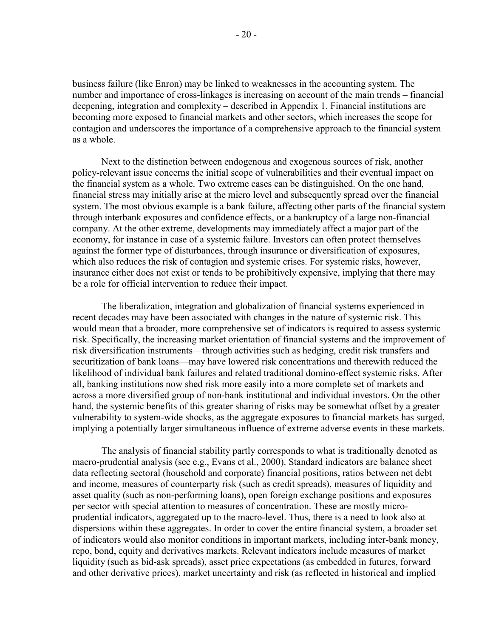business failure (like Enron) may be linked to weaknesses in the accounting system. The number and importance of cross-linkages is increasing on account of the main trends – financial deepening, integration and complexity – described in Appendix 1. Financial institutions are becoming more exposed to financial markets and other sectors, which increases the scope for contagion and underscores the importance of a comprehensive approach to the financial system as a whole.

Next to the distinction between endogenous and exogenous sources of risk, another policy-relevant issue concerns the initial scope of vulnerabilities and their eventual impact on the financial system as a whole. Two extreme cases can be distinguished. On the one hand, financial stress may initially arise at the micro level and subsequently spread over the financial system. The most obvious example is a bank failure, affecting other parts of the financial system through interbank exposures and confidence effects, or a bankruptcy of a large non-financial company. At the other extreme, developments may immediately affect a major part of the economy, for instance in case of a systemic failure. Investors can often protect themselves against the former type of disturbances, through insurance or diversification of exposures, which also reduces the risk of contagion and systemic crises. For systemic risks, however, insurance either does not exist or tends to be prohibitively expensive, implying that there may be a role for official intervention to reduce their impact.

The liberalization, integration and globalization of financial systems experienced in recent decades may have been associated with changes in the nature of systemic risk. This would mean that a broader, more comprehensive set of indicators is required to assess systemic risk. Specifically, the increasing market orientation of financial systems and the improvement of risk diversification instruments—through activities such as hedging, credit risk transfers and securitization of bank loans—may have lowered risk concentrations and therewith reduced the likelihood of individual bank failures and related traditional domino-effect systemic risks. After all, banking institutions now shed risk more easily into a more complete set of markets and across a more diversified group of non-bank institutional and individual investors. On the other hand, the systemic benefits of this greater sharing of risks may be somewhat offset by a greater vulnerability to system-wide shocks, as the aggregate exposures to financial markets has surged, implying a potentially larger simultaneous influence of extreme adverse events in these markets.

The analysis of financial stability partly corresponds to what is traditionally denoted as macro-prudential analysis (see e.g., Evans et al., 2000). Standard indicators are balance sheet data reflecting sectoral (household and corporate) financial positions, ratios between net debt and income, measures of counterparty risk (such as credit spreads), measures of liquidity and asset quality (such as non-performing loans), open foreign exchange positions and exposures per sector with special attention to measures of concentration. These are mostly microprudential indicators, aggregated up to the macro-level. Thus, there is a need to look also at dispersions within these aggregates. In order to cover the entire financial system, a broader set of indicators would also monitor conditions in important markets, including inter-bank money, repo, bond, equity and derivatives markets. Relevant indicators include measures of market liquidity (such as bid-ask spreads), asset price expectations (as embedded in futures, forward and other derivative prices), market uncertainty and risk (as reflected in historical and implied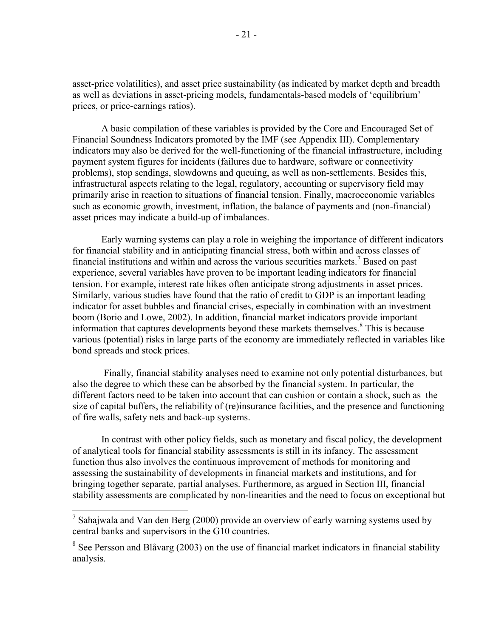asset-price volatilities), and asset price sustainability (as indicated by market depth and breadth as well as deviations in asset-pricing models, fundamentals-based models of 'equilibrium' prices, or price-earnings ratios).

A basic compilation of these variables is provided by the Core and Encouraged Set of Financial Soundness Indicators promoted by the IMF (see Appendix III). Complementary indicators may also be derived for the well-functioning of the financial infrastructure, including payment system figures for incidents (failures due to hardware, software or connectivity problems), stop sendings, slowdowns and queuing, as well as non-settlements. Besides this, infrastructural aspects relating to the legal, regulatory, accounting or supervisory field may primarily arise in reaction to situations of financial tension. Finally, macroeconomic variables such as economic growth, investment, inflation, the balance of payments and (non-financial) asset prices may indicate a build-up of imbalances.

Early warning systems can play a role in weighing the importance of different indicators for financial stability and in anticipating financial stress, both within and across classes of financial institutions and within and across the various securities markets.<sup>7</sup> Based on past experience, several variables have proven to be important leading indicators for financial tension. For example, interest rate hikes often anticipate strong adjustments in asset prices. Similarly, various studies have found that the ratio of credit to GDP is an important leading indicator for asset bubbles and financial crises, especially in combination with an investment boom (Borio and Lowe, 2002). In addition, financial market indicators provide important information that captures developments beyond these markets themselves. $8$  This is because various (potential) risks in large parts of the economy are immediately reflected in variables like bond spreads and stock prices.

 Finally, financial stability analyses need to examine not only potential disturbances, but also the degree to which these can be absorbed by the financial system. In particular, the different factors need to be taken into account that can cushion or contain a shock, such as the size of capital buffers, the reliability of (re)insurance facilities, and the presence and functioning of fire walls, safety nets and back-up systems.

In contrast with other policy fields, such as monetary and fiscal policy, the development of analytical tools for financial stability assessments is still in its infancy. The assessment function thus also involves the continuous improvement of methods for monitoring and assessing the sustainability of developments in financial markets and institutions, and for bringing together separate, partial analyses. Furthermore, as argued in Section III, financial stability assessments are complicated by non-linearities and the need to focus on exceptional but

<sup>&</sup>lt;sup>7</sup> Sahajwala and Van den Berg (2000) provide an overview of early warning systems used by central banks and supervisors in the G10 countries.

 $8$  See Persson and Blåvarg (2003) on the use of financial market indicators in financial stability analysis.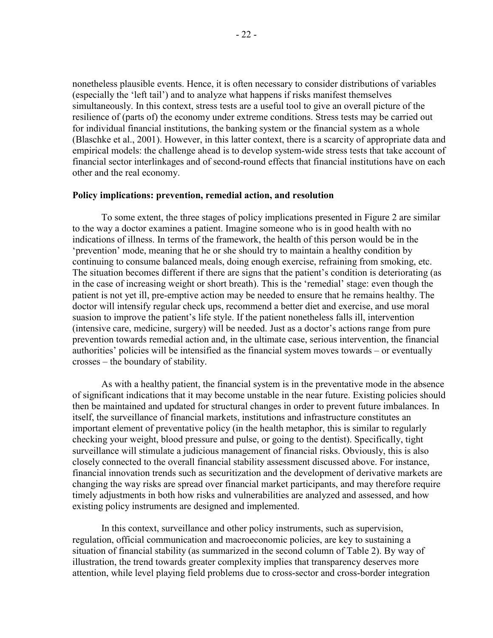nonetheless plausible events. Hence, it is often necessary to consider distributions of variables (especially the 'left tail') and to analyze what happens if risks manifest themselves simultaneously. In this context, stress tests are a useful tool to give an overall picture of the resilience of (parts of) the economy under extreme conditions. Stress tests may be carried out for individual financial institutions, the banking system or the financial system as a whole (Blaschke et al., 2001). However, in this latter context, there is a scarcity of appropriate data and empirical models: the challenge ahead is to develop system-wide stress tests that take account of financial sector interlinkages and of second-round effects that financial institutions have on each other and the real economy.

#### **Policy implications: prevention, remedial action, and resolution**

To some extent, the three stages of policy implications presented in Figure 2 are similar to the way a doctor examines a patient. Imagine someone who is in good health with no indications of illness. In terms of the framework, the health of this person would be in the 'prevention' mode, meaning that he or she should try to maintain a healthy condition by continuing to consume balanced meals, doing enough exercise, refraining from smoking, etc. The situation becomes different if there are signs that the patient's condition is deteriorating (as in the case of increasing weight or short breath). This is the 'remedial' stage: even though the patient is not yet ill, pre-emptive action may be needed to ensure that he remains healthy. The doctor will intensify regular check ups, recommend a better diet and exercise, and use moral suasion to improve the patient's life style. If the patient nonetheless falls ill, intervention (intensive care, medicine, surgery) will be needed. Just as a doctor's actions range from pure prevention towards remedial action and, in the ultimate case, serious intervention, the financial authorities' policies will be intensified as the financial system moves towards – or eventually crosses – the boundary of stability.

As with a healthy patient, the financial system is in the preventative mode in the absence of significant indications that it may become unstable in the near future. Existing policies should then be maintained and updated for structural changes in order to prevent future imbalances. In itself, the surveillance of financial markets, institutions and infrastructure constitutes an important element of preventative policy (in the health metaphor, this is similar to regularly checking your weight, blood pressure and pulse, or going to the dentist). Specifically, tight surveillance will stimulate a judicious management of financial risks. Obviously, this is also closely connected to the overall financial stability assessment discussed above. For instance, financial innovation trends such as securitization and the development of derivative markets are changing the way risks are spread over financial market participants, and may therefore require timely adjustments in both how risks and vulnerabilities are analyzed and assessed, and how existing policy instruments are designed and implemented.

In this context, surveillance and other policy instruments, such as supervision, regulation, official communication and macroeconomic policies, are key to sustaining a situation of financial stability (as summarized in the second column of Table 2). By way of illustration, the trend towards greater complexity implies that transparency deserves more attention, while level playing field problems due to cross-sector and cross-border integration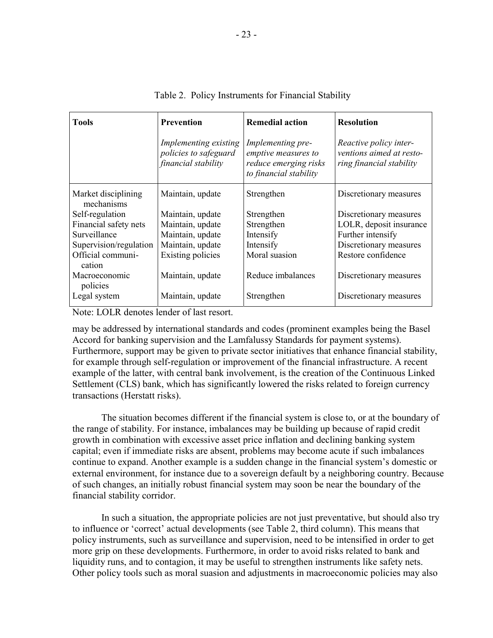| <b>Tools</b>                      | <b>Prevention</b>                                                     | <b>Remedial action</b>                                                                      | <b>Resolution</b>                                                              |
|-----------------------------------|-----------------------------------------------------------------------|---------------------------------------------------------------------------------------------|--------------------------------------------------------------------------------|
|                                   | Implementing existing<br>policies to safeguard<br>financial stability | Implementing pre-<br>emptive measures to<br>reduce emerging risks<br>to financial stability | Reactive policy inter-<br>ventions aimed at resto-<br>ring financial stability |
| Market disciplining<br>mechanisms | Maintain, update                                                      | Strengthen                                                                                  | Discretionary measures                                                         |
| Self-regulation                   | Maintain, update                                                      | Strengthen                                                                                  | Discretionary measures                                                         |
| Financial safety nets             | Maintain, update                                                      | Strengthen                                                                                  | LOLR, deposit insurance                                                        |
| Surveillance                      | Maintain, update                                                      | Intensify                                                                                   | Further intensify                                                              |
| Supervision/regulation            | Maintain, update                                                      | Intensify                                                                                   | Discretionary measures                                                         |
| Official communi-<br>cation       | Existing policies                                                     | Moral suasion                                                                               | Restore confidence                                                             |
| Macroeconomic<br>policies         | Maintain, update                                                      | Reduce imbalances                                                                           | Discretionary measures                                                         |
| Legal system                      | Maintain, update                                                      | Strengthen                                                                                  | Discretionary measures                                                         |

#### Table 2. Policy Instruments for Financial Stability

Note: LOLR denotes lender of last resort.

may be addressed by international standards and codes (prominent examples being the Basel Accord for banking supervision and the Lamfalussy Standards for payment systems). Furthermore, support may be given to private sector initiatives that enhance financial stability, for example through self-regulation or improvement of the financial infrastructure. A recent example of the latter, with central bank involvement, is the creation of the Continuous Linked Settlement (CLS) bank, which has significantly lowered the risks related to foreign currency transactions (Herstatt risks).

The situation becomes different if the financial system is close to, or at the boundary of the range of stability. For instance, imbalances may be building up because of rapid credit growth in combination with excessive asset price inflation and declining banking system capital; even if immediate risks are absent, problems may become acute if such imbalances continue to expand. Another example is a sudden change in the financial system's domestic or external environment, for instance due to a sovereign default by a neighboring country. Because of such changes, an initially robust financial system may soon be near the boundary of the financial stability corridor.

In such a situation, the appropriate policies are not just preventative, but should also try to influence or 'correct' actual developments (see Table 2, third column). This means that policy instruments, such as surveillance and supervision, need to be intensified in order to get more grip on these developments. Furthermore, in order to avoid risks related to bank and liquidity runs, and to contagion, it may be useful to strengthen instruments like safety nets. Other policy tools such as moral suasion and adjustments in macroeconomic policies may also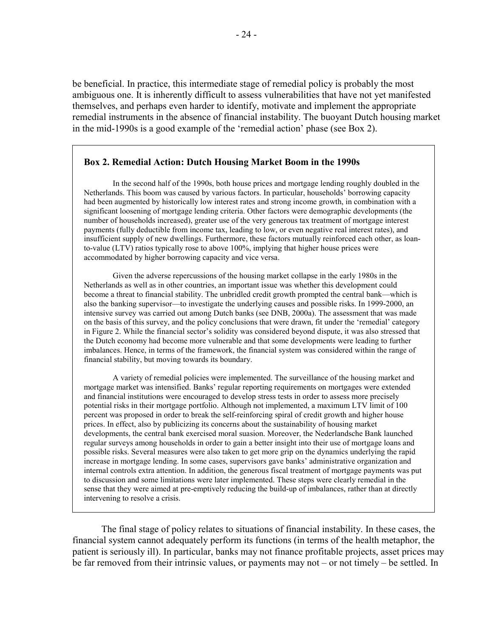be beneficial. In practice, this intermediate stage of remedial policy is probably the most ambiguous one. It is inherently difficult to assess vulnerabilities that have not yet manifested themselves, and perhaps even harder to identify, motivate and implement the appropriate remedial instruments in the absence of financial instability. The buoyant Dutch housing market in the mid-1990s is a good example of the 'remedial action' phase (see Box 2).

#### **Box 2. Remedial Action: Dutch Housing Market Boom in the 1990s**

In the second half of the 1990s, both house prices and mortgage lending roughly doubled in the Netherlands. This boom was caused by various factors. In particular, households' borrowing capacity had been augmented by historically low interest rates and strong income growth, in combination with a significant loosening of mortgage lending criteria. Other factors were demographic developments (the number of households increased), greater use of the very generous tax treatment of mortgage interest payments (fully deductible from income tax, leading to low, or even negative real interest rates), and insufficient supply of new dwellings. Furthermore, these factors mutually reinforced each other, as loanto-value (LTV) ratios typically rose to above 100%, implying that higher house prices were accommodated by higher borrowing capacity and vice versa.

Given the adverse repercussions of the housing market collapse in the early 1980s in the Netherlands as well as in other countries, an important issue was whether this development could become a threat to financial stability. The unbridled credit growth prompted the central bank—which is also the banking supervisor—to investigate the underlying causes and possible risks. In 1999-2000, an intensive survey was carried out among Dutch banks (see DNB, 2000a). The assessment that was made on the basis of this survey, and the policy conclusions that were drawn, fit under the 'remedial' category in Figure 2. While the financial sector's solidity was considered beyond dispute, it was also stressed that the Dutch economy had become more vulnerable and that some developments were leading to further imbalances. Hence, in terms of the framework, the financial system was considered within the range of financial stability, but moving towards its boundary.

A variety of remedial policies were implemented. The surveillance of the housing market and mortgage market was intensified. Banks' regular reporting requirements on mortgages were extended and financial institutions were encouraged to develop stress tests in order to assess more precisely potential risks in their mortgage portfolio. Although not implemented, a maximum LTV limit of 100 percent was proposed in order to break the self-reinforcing spiral of credit growth and higher house prices. In effect, also by publicizing its concerns about the sustainability of housing market developments, the central bank exercised moral suasion. Moreover, the Nederlandsche Bank launched regular surveys among households in order to gain a better insight into their use of mortgage loans and possible risks. Several measures were also taken to get more grip on the dynamics underlying the rapid increase in mortgage lending. In some cases, supervisors gave banks' administrative organization and internal controls extra attention. In addition, the generous fiscal treatment of mortgage payments was put to discussion and some limitations were later implemented. These steps were clearly remedial in the sense that they were aimed at pre-emptively reducing the build-up of imbalances, rather than at directly intervening to resolve a crisis.

The final stage of policy relates to situations of financial instability. In these cases, the financial system cannot adequately perform its functions (in terms of the health metaphor, the patient is seriously ill). In particular, banks may not finance profitable projects, asset prices may be far removed from their intrinsic values, or payments may not – or not timely – be settled. In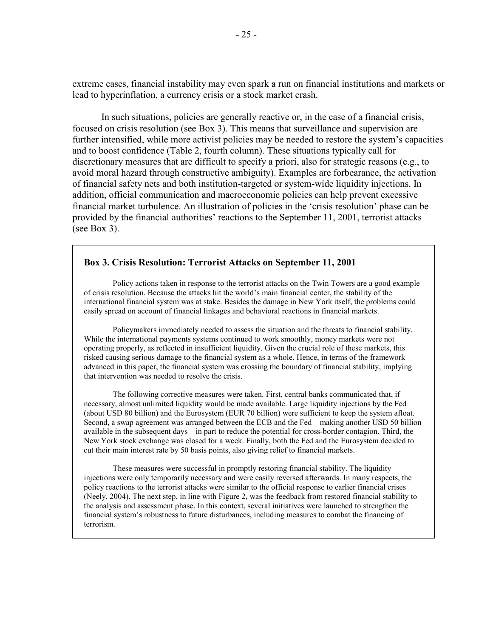extreme cases, financial instability may even spark a run on financial institutions and markets or lead to hyperinflation, a currency crisis or a stock market crash.

In such situations, policies are generally reactive or, in the case of a financial crisis, focused on crisis resolution (see Box 3). This means that surveillance and supervision are further intensified, while more activist policies may be needed to restore the system's capacities and to boost confidence (Table 2, fourth column). These situations typically call for discretionary measures that are difficult to specify a priori, also for strategic reasons (e.g., to avoid moral hazard through constructive ambiguity). Examples are forbearance, the activation of financial safety nets and both institution-targeted or system-wide liquidity injections. In addition, official communication and macroeconomic policies can help prevent excessive financial market turbulence. An illustration of policies in the 'crisis resolution' phase can be provided by the financial authorities' reactions to the September 11, 2001, terrorist attacks (see Box 3).

#### **Box 3. Crisis Resolution: Terrorist Attacks on September 11, 2001**

Policy actions taken in response to the terrorist attacks on the Twin Towers are a good example of crisis resolution. Because the attacks hit the world's main financial center, the stability of the international financial system was at stake. Besides the damage in New York itself, the problems could easily spread on account of financial linkages and behavioral reactions in financial markets.

Policymakers immediately needed to assess the situation and the threats to financial stability. While the international payments systems continued to work smoothly, money markets were not operating properly, as reflected in insufficient liquidity. Given the crucial role of these markets, this risked causing serious damage to the financial system as a whole. Hence, in terms of the framework advanced in this paper, the financial system was crossing the boundary of financial stability, implying that intervention was needed to resolve the crisis.

The following corrective measures were taken. First, central banks communicated that, if necessary, almost unlimited liquidity would be made available. Large liquidity injections by the Fed (about USD 80 billion) and the Eurosystem (EUR 70 billion) were sufficient to keep the system afloat. Second, a swap agreement was arranged between the ECB and the Fed—making another USD 50 billion available in the subsequent days—in part to reduce the potential for cross-border contagion. Third, the New York stock exchange was closed for a week. Finally, both the Fed and the Eurosystem decided to cut their main interest rate by 50 basis points, also giving relief to financial markets.

These measures were successful in promptly restoring financial stability. The liquidity injections were only temporarily necessary and were easily reversed afterwards. In many respects, the policy reactions to the terrorist attacks were similar to the official response to earlier financial crises (Neely, 2004). The next step, in line with Figure 2, was the feedback from restored financial stability to the analysis and assessment phase. In this context, several initiatives were launched to strengthen the financial system's robustness to future disturbances, including measures to combat the financing of terrorism.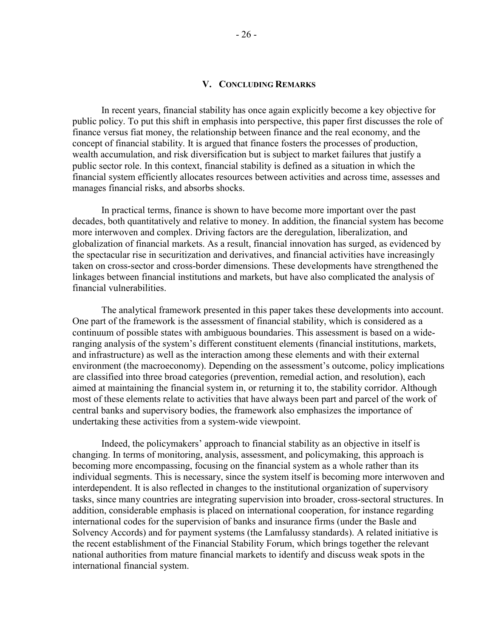#### **V. CONCLUDING REMARKS**

In recent years, financial stability has once again explicitly become a key objective for public policy. To put this shift in emphasis into perspective, this paper first discusses the role of finance versus fiat money, the relationship between finance and the real economy, and the concept of financial stability. It is argued that finance fosters the processes of production, wealth accumulation, and risk diversification but is subject to market failures that justify a public sector role. In this context, financial stability is defined as a situation in which the financial system efficiently allocates resources between activities and across time, assesses and manages financial risks, and absorbs shocks.

In practical terms, finance is shown to have become more important over the past decades, both quantitatively and relative to money. In addition, the financial system has become more interwoven and complex. Driving factors are the deregulation, liberalization, and globalization of financial markets. As a result, financial innovation has surged, as evidenced by the spectacular rise in securitization and derivatives, and financial activities have increasingly taken on cross-sector and cross-border dimensions. These developments have strengthened the linkages between financial institutions and markets, but have also complicated the analysis of financial vulnerabilities.

The analytical framework presented in this paper takes these developments into account. One part of the framework is the assessment of financial stability, which is considered as a continuum of possible states with ambiguous boundaries. This assessment is based on a wideranging analysis of the system's different constituent elements (financial institutions, markets, and infrastructure) as well as the interaction among these elements and with their external environment (the macroeconomy). Depending on the assessment's outcome, policy implications are classified into three broad categories (prevention, remedial action, and resolution), each aimed at maintaining the financial system in, or returning it to, the stability corridor. Although most of these elements relate to activities that have always been part and parcel of the work of central banks and supervisory bodies, the framework also emphasizes the importance of undertaking these activities from a system-wide viewpoint.

Indeed, the policymakers' approach to financial stability as an objective in itself is changing. In terms of monitoring, analysis, assessment, and policymaking, this approach is becoming more encompassing, focusing on the financial system as a whole rather than its individual segments. This is necessary, since the system itself is becoming more interwoven and interdependent. It is also reflected in changes to the institutional organization of supervisory tasks, since many countries are integrating supervision into broader, cross-sectoral structures. In addition, considerable emphasis is placed on international cooperation, for instance regarding international codes for the supervision of banks and insurance firms (under the Basle and Solvency Accords) and for payment systems (the Lamfalussy standards). A related initiative is the recent establishment of the Financial Stability Forum, which brings together the relevant national authorities from mature financial markets to identify and discuss weak spots in the international financial system.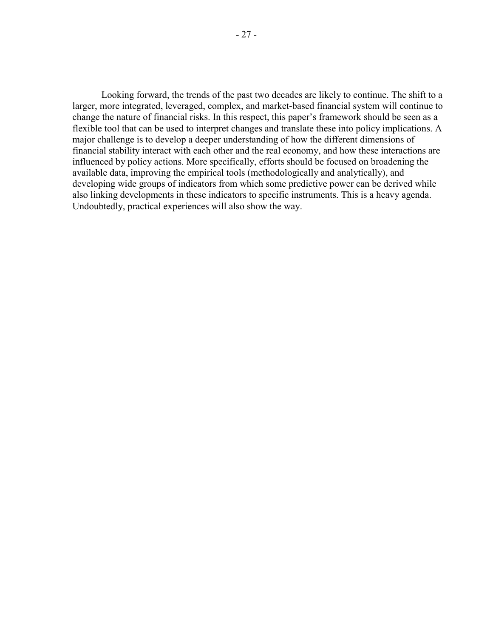Looking forward, the trends of the past two decades are likely to continue. The shift to a larger, more integrated, leveraged, complex, and market-based financial system will continue to change the nature of financial risks. In this respect, this paper's framework should be seen as a flexible tool that can be used to interpret changes and translate these into policy implications. A major challenge is to develop a deeper understanding of how the different dimensions of financial stability interact with each other and the real economy, and how these interactions are influenced by policy actions. More specifically, efforts should be focused on broadening the available data, improving the empirical tools (methodologically and analytically), and developing wide groups of indicators from which some predictive power can be derived while also linking developments in these indicators to specific instruments. This is a heavy agenda. Undoubtedly, practical experiences will also show the way.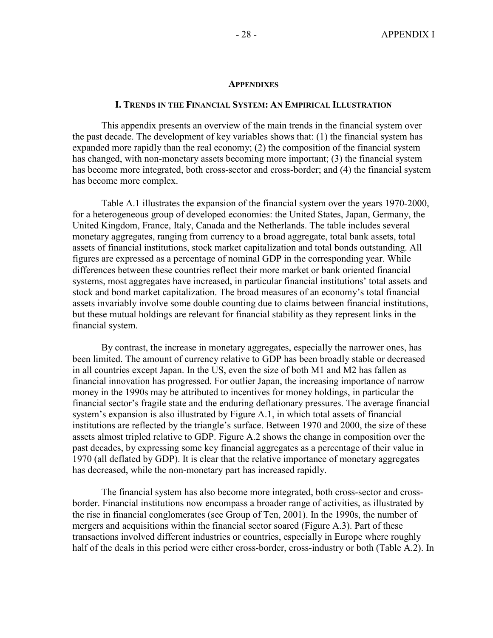#### **APPENDIXES**

#### **I. TRENDS IN THE FINANCIAL SYSTEM: AN EMPIRICAL ILLUSTRATION**

This appendix presents an overview of the main trends in the financial system over the past decade. The development of key variables shows that: (1) the financial system has expanded more rapidly than the real economy; (2) the composition of the financial system has changed, with non-monetary assets becoming more important; (3) the financial system has become more integrated, both cross-sector and cross-border; and (4) the financial system has become more complex.

Table A.1 illustrates the expansion of the financial system over the years 1970-2000, for a heterogeneous group of developed economies: the United States, Japan, Germany, the United Kingdom, France, Italy, Canada and the Netherlands. The table includes several monetary aggregates, ranging from currency to a broad aggregate, total bank assets, total assets of financial institutions, stock market capitalization and total bonds outstanding. All figures are expressed as a percentage of nominal GDP in the corresponding year. While differences between these countries reflect their more market or bank oriented financial systems, most aggregates have increased, in particular financial institutions' total assets and stock and bond market capitalization. The broad measures of an economy's total financial assets invariably involve some double counting due to claims between financial institutions, but these mutual holdings are relevant for financial stability as they represent links in the financial system.

By contrast, the increase in monetary aggregates, especially the narrower ones, has been limited. The amount of currency relative to GDP has been broadly stable or decreased in all countries except Japan. In the US, even the size of both M1 and M2 has fallen as financial innovation has progressed. For outlier Japan, the increasing importance of narrow money in the 1990s may be attributed to incentives for money holdings, in particular the financial sector's fragile state and the enduring deflationary pressures. The average financial system's expansion is also illustrated by Figure A.1, in which total assets of financial institutions are reflected by the triangle's surface. Between 1970 and 2000, the size of these assets almost tripled relative to GDP. Figure A.2 shows the change in composition over the past decades, by expressing some key financial aggregates as a percentage of their value in 1970 (all deflated by GDP). It is clear that the relative importance of monetary aggregates has decreased, while the non-monetary part has increased rapidly.

The financial system has also become more integrated, both cross-sector and crossborder. Financial institutions now encompass a broader range of activities, as illustrated by the rise in financial conglomerates (see Group of Ten, 2001). In the 1990s, the number of mergers and acquisitions within the financial sector soared (Figure A.3). Part of these transactions involved different industries or countries, especially in Europe where roughly half of the deals in this period were either cross-border, cross-industry or both (Table A.2). In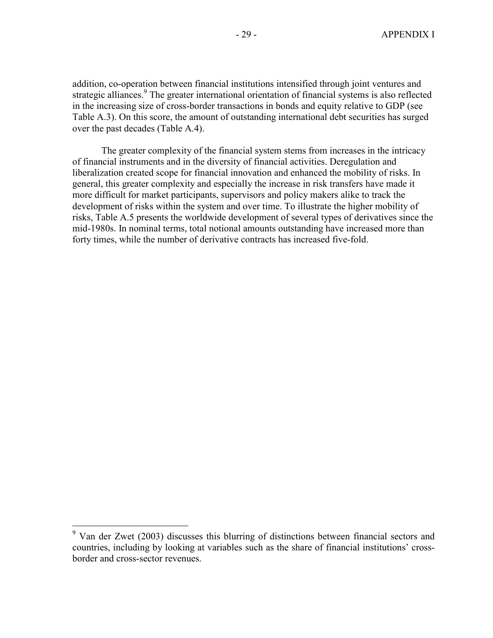addition, co-operation between financial institutions intensified through joint ventures and strategic alliances.<sup>9</sup> The greater international orientation of financial systems is also reflected in the increasing size of cross-border transactions in bonds and equity relative to GDP (see Table A.3). On this score, the amount of outstanding international debt securities has surged over the past decades (Table A.4).

The greater complexity of the financial system stems from increases in the intricacy of financial instruments and in the diversity of financial activities. Deregulation and liberalization created scope for financial innovation and enhanced the mobility of risks. In general, this greater complexity and especially the increase in risk transfers have made it more difficult for market participants, supervisors and policy makers alike to track the development of risks within the system and over time. To illustrate the higher mobility of risks, Table A.5 presents the worldwide development of several types of derivatives since the mid-1980s. In nominal terms, total notional amounts outstanding have increased more than forty times, while the number of derivative contracts has increased five-fold.

 $\overline{a}$ 

<sup>9</sup> Van der Zwet (2003) discusses this blurring of distinctions between financial sectors and countries, including by looking at variables such as the share of financial institutions' crossborder and cross-sector revenues.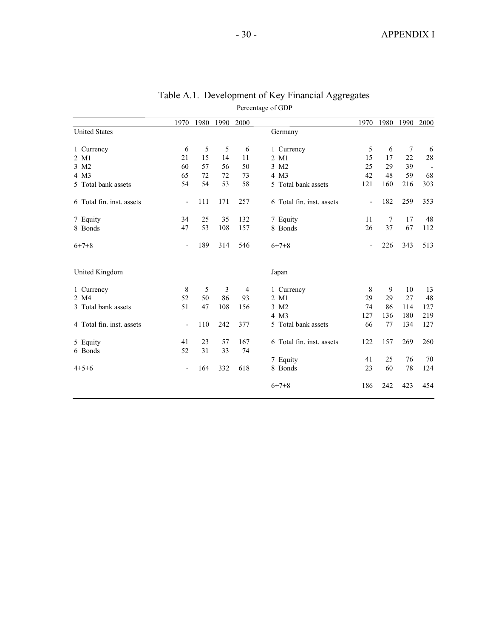|                           | 1970           | 1980 | 1990 | 2000 |                           | 1970                     | 1980 | 1990            | 2000 |
|---------------------------|----------------|------|------|------|---------------------------|--------------------------|------|-----------------|------|
| <b>United States</b>      |                |      |      |      | Germany                   |                          |      |                 |      |
| 1 Currency                | 6              | 5    | 5    | 6    | 1 Currency                | 5                        | 6    | $7\phantom{.0}$ | 6    |
| 2 M1                      | 21             | 15   | 14   | 11   | 2 M1                      | 15                       | 17   | 22              | 28   |
| 3 M2                      | 60             | 57   | 56   | 50   | 3 M2                      | 25                       | 29   | 39              |      |
| 4 M3                      | 65             | 72   | 72   | 73   | 4 M3                      | 42                       | 48   | 59              | 68   |
| 5 Total bank assets       | 54             | 54   | 53   | 58   | 5 Total bank assets       | 121                      | 160  | 216             | 303  |
| 6 Total fin. inst. assets | $\overline{a}$ | 111  | 171  | 257  | 6 Total fin. inst. assets | $\overline{\phantom{m}}$ | 182  | 259             | 353  |
| 7 Equity                  | 34             | 25   | 35   | 132  | 7 Equity                  | 11                       | 7    | 17              | 48   |
| 8 Bonds                   | 47             | 53   | 108  | 157  | 8 Bonds                   | 26                       | 37   | 67              | 112  |
| $6+7+8$                   | $\overline{a}$ | 189  | 314  | 546  | $6+7+8$                   | $\overline{a}$           | 226  | 343             | 513  |
| United Kingdom            |                |      |      |      | Japan                     |                          |      |                 |      |
| 1 Currency                | 8              | 5    | 3    | 4    | 1 Currency                | 8                        | 9    | 10              | 13   |
| 2 M4                      | 52             | 50   | 86   | 93   | 2 M1                      | 29                       | 29   | 27              | 48   |
| 3 Total bank assets       | 51             | 47   | 108  | 156  | 3 M2                      | 74                       | 86   | 114             | 127  |
|                           |                |      |      |      | 4 M3                      | 127                      | 136  | 180             | 219  |
| 4 Total fin. inst. assets | ÷,             | 110  | 242  | 377  | 5 Total bank assets       | 66                       | 77   | 134             | 127  |
| 5 Equity                  | 41             | 23   | 57   | 167  | 6 Total fin. inst. assets | 122                      | 157  | 269             | 260  |
| 6 Bonds                   | 52             | 31   | 33   | 74   |                           |                          |      |                 |      |
|                           |                |      |      |      | 7 Equity                  | 41                       | 25   | 76              | 70   |
| $4+5+6$                   | Ē,             | 164  | 332  | 618  | 8 Bonds                   | 23                       | 60   | 78              | 124  |
|                           |                |      |      |      | $6+7+8$                   | 186                      | 242  | 423             | 454  |

| Table A.1. Development of Key Financial Aggregates |
|----------------------------------------------------|
| Percentage of GDP                                  |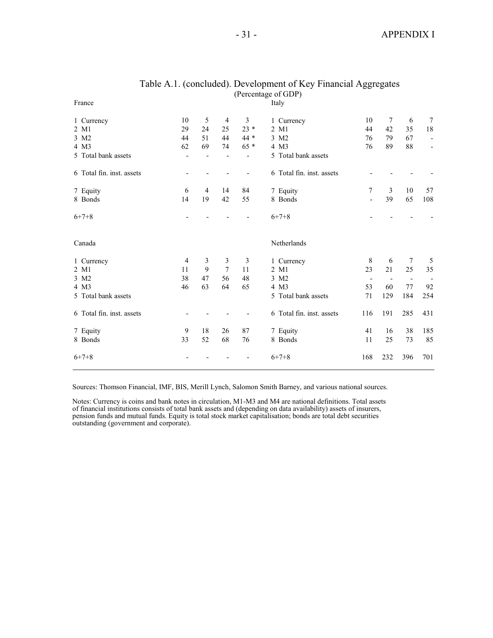| France                    |                |                |                |                          | Italy                     |                          |                          |                          |                          |
|---------------------------|----------------|----------------|----------------|--------------------------|---------------------------|--------------------------|--------------------------|--------------------------|--------------------------|
| 1 Currency                | 10             | 5              | $\overline{4}$ | $\mathfrak{Z}$           | 1 Currency                | 10                       | $\tau$                   | 6                        | 7                        |
| 2 M1                      | 29             | 24             | 25             | $23 *$                   | 2 M1                      | 44                       | 42                       | 35                       | $1\,8$                   |
| 3 M2                      | 44             | 51             | 44             | $44*$                    | 3 M2                      | 76                       | 79                       | 67                       | $\overline{\phantom{a}}$ |
| 4 M3                      | 62             | 69             | 74             | $65 *$                   | 4 M3                      | 76                       | 89                       | 88                       | $\overline{\phantom{a}}$ |
| 5 Total bank assets       |                |                |                | $\overline{\phantom{a}}$ | 5 Total bank assets       |                          |                          |                          |                          |
| 6 Total fin. inst. assets |                |                |                | $\overline{\phantom{a}}$ | 6 Total fin. inst. assets |                          |                          |                          |                          |
| 7 Equity                  | 6              | $\overline{4}$ | 14             | 84                       | 7 Equity                  | 7                        | 3                        | 10                       | 57                       |
| 8 Bonds                   | 14             | 19             | 42             | 55                       | 8 Bonds                   | ÷,                       | 39                       | 65                       | 108                      |
| $6+7+8$                   |                |                |                |                          | $6+7+8$                   |                          |                          |                          |                          |
| Canada                    |                |                |                |                          | Netherlands               |                          |                          |                          |                          |
| 1 Currency                | $\overline{4}$ | 3              | 3              | 3                        | 1 Currency                | 8                        | 6                        | 7                        | 5                        |
| 2 M1                      | 11             | 9              | 7              | 11                       | 2 M1                      | 23                       | 21                       | 25                       | 35                       |
| 3 M2                      | 38             | 47             | 56             | 48                       | 3 M2                      | $\overline{\phantom{a}}$ | $\overline{\phantom{a}}$ | $\overline{\phantom{a}}$ |                          |
| 4 M3                      | 46             | 63             | 64             | 65                       | 4 M3                      | 53                       | 60                       | 77                       | 92                       |
| 5 Total bank assets       |                |                |                |                          | 5 Total bank assets       | 71                       | 129                      | 184                      | 254                      |
| 6 Total fin. inst. assets |                |                |                |                          | 6 Total fin. inst. assets | 116                      | 191                      | 285                      | 431                      |
| 7 Equity                  | 9              | 18             | 26             | 87                       | 7 Equity                  | 41                       | 16                       | 38                       | 185                      |
| 8 Bonds                   | 33             | 52             | 68             | 76                       | 8 Bonds                   | 11                       | 25                       | 73                       | 85                       |
| $6+7+8$                   |                |                |                |                          | $6+7+8$                   | 168                      | 232                      | 396                      | 701                      |

#### Table A.1. (concluded). Development of Key Financial Aggregates (Percentage of GDP)

Sources: Thomson Financial, IMF, BIS, Merill Lynch, Salomon Smith Barney, and various national sources.

Notes: Currency is coins and bank notes in circulation, M1-M3 and M4 are national definitions. Total assets of financial institutions consists of total bank assets and (depending on data availability) assets of insurers, pension funds and mutual funds. Equity is total stock market capitalisation; bonds are total debt securities outstanding (government and corporate).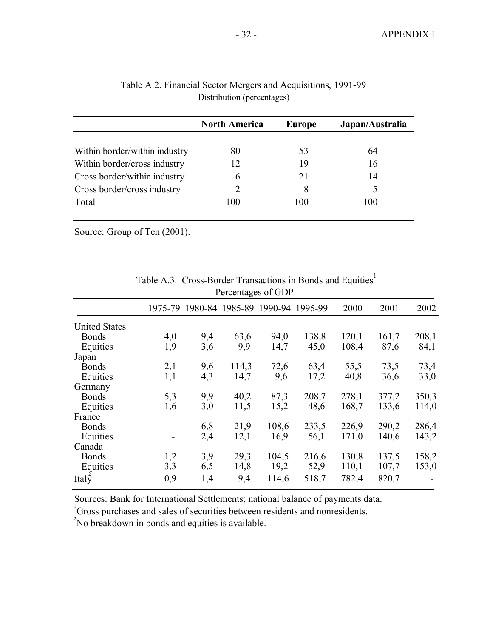|                               | <b>North America</b> | <b>Europe</b> | Japan/Australia |
|-------------------------------|----------------------|---------------|-----------------|
|                               |                      |               |                 |
| Within border/within industry | 80                   | 53            | 64              |
| Within border/cross industry  | 12                   | 19            | 16              |
| Cross border/within industry  | 6                    | 21            | 14              |
| Cross border/cross industry   | 2                    | 8             | 5               |
| Total                         | 100                  | 100           | 100             |
|                               |                      |               |                 |

| Table A.2. Financial Sector Mergers and Acquisitions, 1991-99 |  |
|---------------------------------------------------------------|--|
| Distribution (percentages)                                    |  |

Source: Group of Ten (2001).

|                      | Percentages of GDP           |     |       |                                         |       |       |       |       |  |  |
|----------------------|------------------------------|-----|-------|-----------------------------------------|-------|-------|-------|-------|--|--|
|                      |                              |     |       | 1975-79 1980-84 1985-89 1990-94 1995-99 |       | 2000  | 2001  | 2002  |  |  |
| <b>United States</b> |                              |     |       |                                         |       |       |       |       |  |  |
| <b>Bonds</b>         | 4,0                          | 9,4 | 63,6  | 94,0                                    | 138,8 | 120,1 | 161,7 | 208,1 |  |  |
| Equities             | 1,9                          | 3,6 | 9,9   | 14,7                                    | 45,0  | 108,4 | 87,6  | 84,1  |  |  |
| Japan                |                              |     |       |                                         |       |       |       |       |  |  |
| <b>Bonds</b>         | 2,1                          | 9,6 | 114,3 | 72,6                                    | 63,4  | 55,5  | 73,5  | 73,4  |  |  |
| Equities             | 1,1                          | 4,3 | 14,7  | 9,6                                     | 17,2  | 40,8  | 36,6  | 33,0  |  |  |
| Germany              |                              |     |       |                                         |       |       |       |       |  |  |
| <b>Bonds</b>         | 5,3                          | 9,9 | 40,2  | 87,3                                    | 208,7 | 278,1 | 377,2 | 350,3 |  |  |
| Equities             | 1,6                          | 3,0 | 11,5  | 15,2                                    | 48,6  | 168,7 | 133,6 | 114,0 |  |  |
| France               |                              |     |       |                                         |       |       |       |       |  |  |
| <b>Bonds</b>         | $\qquad \qquad \blacksquare$ | 6,8 | 21,9  | 108,6                                   | 233,5 | 226,9 | 290,2 | 286,4 |  |  |
| Equities             | $\qquad \qquad \blacksquare$ | 2,4 | 12,1  | 16,9                                    | 56,1  | 171,0 | 140,6 | 143,2 |  |  |
| Canada               |                              |     |       |                                         |       |       |       |       |  |  |
| <b>Bonds</b>         | 1,2                          | 3,9 | 29,3  | 104,5                                   | 216,6 | 130,8 | 137,5 | 158,2 |  |  |
| Equities             | 3,3                          | 6,5 | 14,8  | 19,2                                    | 52,9  | 110,1 | 107,7 | 153,0 |  |  |
| Italy                | 0,9                          | 1,4 | 9,4   | 114,6                                   | 518,7 | 782,4 | 820,7 |       |  |  |

| Table A.3. Cross-Border Transactions in Bonds and Equities         |
|--------------------------------------------------------------------|
| $D_{\text{max}}$ $\mathcal{L}$ and $\mathcal{L}$ and $\mathcal{L}$ |

Sources: Bank for International Settlements; national balance of payments data.

<sup>1</sup>Gross purchases and sales of securities between residents and nonresidents.

<sup>2</sup>No breakdown in bonds and equities is available.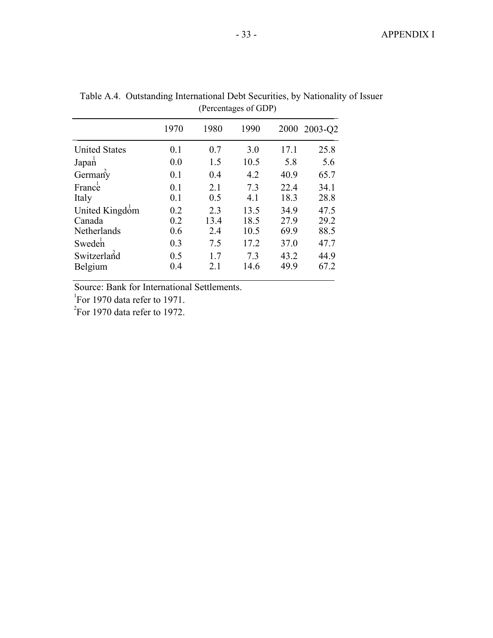|                      | 1970 | 1980 | 1990 |      | 2000 2003-Q2 |
|----------------------|------|------|------|------|--------------|
| <b>United States</b> | 0.1  | 0.7  | 3.0  | 17.1 | 25.8         |
| Japan                | 0.0  | 1.5  | 10.5 | 5.8  | 5.6          |
| German $\vec{y}$     | 0.1  | 0.4  | 4.2  | 40.9 | 65.7         |
| France               | 0.1  | 2.1  | 7.3  | 22.4 | 34.1         |
| Italy                | 0.1  | 0.5  | 4.1  | 18.3 | 28.8         |
| United Kingdom       | 0.2  | 2.3  | 13.5 | 34.9 | 47.5         |
| Canada               | 0.2  | 13.4 | 18.5 | 27.9 | 29.2         |
| Netherlands          | 0.6  | 2.4  | 10.5 | 69.9 | 88.5         |
| Sweden               | 0.3  | 7.5  | 17.2 | 37.0 | 47.7         |
| Switzerland          | 0.5  | 1.7  | 7.3  | 43.2 | 44.9         |
| Belgium              | 0.4  | 21   | 14.6 | 49.9 | 67.2         |
|                      |      |      |      |      |              |

Table A.4. Outstanding International Debt Securities, by Nationality of Issuer (Percentages of GDP)

Source: Bank for International Settlements.

<sup>1</sup>For 1970 data refer to 1971.

 $\mathrm{^{2}F}$ or 1970 data refer to 1972.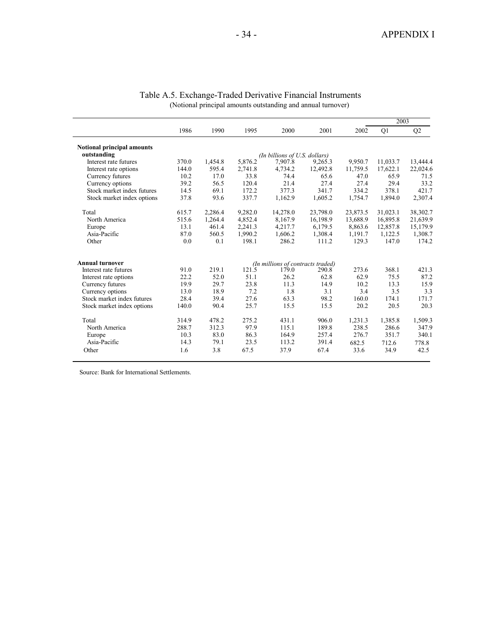|                                   |       |         |         |                                   |          |          | 2003     |          |
|-----------------------------------|-------|---------|---------|-----------------------------------|----------|----------|----------|----------|
|                                   | 1986  | 1990    | 1995    | 2000                              | 2001     | 2002     | Q1       | Q2       |
| <b>Notional principal amounts</b> |       |         |         |                                   |          |          |          |          |
| outstanding                       |       |         |         | (In billions of U.S. dollars)     |          |          |          |          |
| Interest rate futures             | 370.0 | 1,454.8 | 5,876.2 | 7,907.8                           | 9,265.3  | 9.950.7  | 11,033.7 | 13,444.4 |
| Interest rate options             | 144.0 | 595.4   | 2,741.8 | 4.734.2                           | 12,492.8 | 11,759.5 | 17,622.1 | 22,024.6 |
| Currency futures                  | 10.2  | 17.0    | 33.8    | 74.4                              | 65.6     | 47.0     | 65.9     | 71.5     |
| Currency options                  | 39.2  | 56.5    | 120.4   | 21.4                              | 27.4     | 27.4     | 29.4     | 33.2     |
| Stock market index futures        | 14.5  | 69.1    | 172.2   | 377.3                             | 341.7    | 334.2    | 378.1    | 421.7    |
| Stock market index options        | 37.8  | 93.6    | 337.7   | 1,162.9                           | 1,605.2  | 1,754.7  | 1,894.0  | 2,307.4  |
| Total                             | 615.7 | 2,286.4 | 9,282.0 | 14,278.0                          | 23,798.0 | 23,873.5 | 31,023.1 | 38,302.7 |
| North America                     | 515.6 | 1,264.4 | 4,852.4 | 8,167.9                           | 16,198.9 | 13,688.9 | 16,895.8 | 21,639.9 |
| Europe                            | 13.1  | 461.4   | 2,241.3 | 4,217.7                           | 6,179.5  | 8,863.6  | 12,857.8 | 15,179.9 |
| Asia-Pacific                      | 87.0  | 560.5   | 1,990.2 | 1,606.2                           | 1,308.4  | 1,191.7  | 1,122.5  | 1,308.7  |
| Other                             | 0.0   | 0.1     | 198.1   | 286.2                             | 111.2    | 129.3    | 147.0    | 174.2    |
| <b>Annual turnover</b>            |       |         |         | (In millions of contracts traded) |          |          |          |          |
| Interest rate futures             | 91.0  | 219.1   | 121.5   | 179.0                             | 290.8    | 273.6    | 368.1    | 421.3    |
| Interest rate options             | 22.2  | 52.0    | 51.1    | 26.2                              | 62.8     | 62.9     | 75.5     | 87.2     |
| Currency futures                  | 19.9  | 29.7    | 23.8    | 11.3                              | 14.9     | 10.2     | 13.3     | 15.9     |
| Currency options                  | 13.0  | 18.9    | 7.2     | 1.8                               | 3.1      | 3.4      | 3.5      | 3.3      |
| Stock market index futures        | 28.4  | 39.4    | 27.6    | 63.3                              | 98.2     | 160.0    | 174.1    | 171.7    |
| Stock market index options        | 140.0 | 90.4    | 25.7    | 15.5                              | 15.5     | 20.2     | 20.5     | 20.3     |
| Total                             | 314.9 | 478.2   | 275.2   | 431.1                             | 906.0    | 1,231.3  | 1,385.8  | 1,509.3  |
| North America                     | 288.7 | 312.3   | 97.9    | 115.1                             | 189.8    | 238.5    | 286.6    | 347.9    |
| Europe                            | 10.3  | 83.0    | 86.3    | 164.9                             | 257.4    | 276.7    | 351.7    | 340.1    |
| Asia-Pacific                      | 14.3  | 79.1    | 23.5    | 113.2                             | 391.4    | 682.5    | 712.6    | 778.8    |
| Other                             | 1.6   | 3.8     | 67.5    | 37.9                              | 67.4     | 33.6     | 34.9     | 42.5     |

| Table A.5. Exchange-Traded Derivative Financial Instruments  |  |
|--------------------------------------------------------------|--|
| (Notional principal amounts outstanding and annual turnover) |  |

Source: Bank for International Settlements.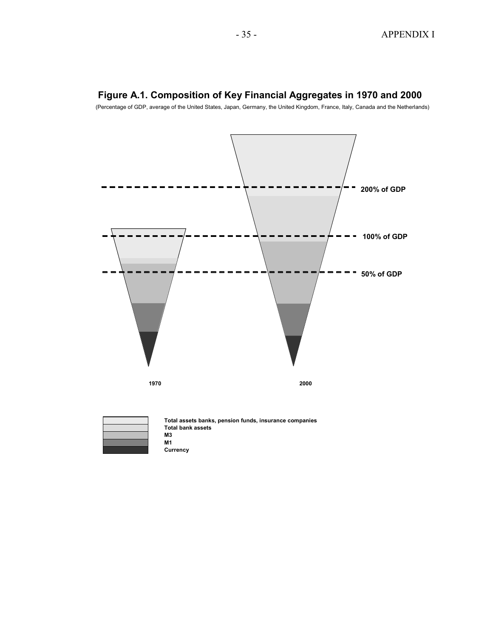

# **Figure A.1. Composition of Key Financial Aggregates in 1970 and 2000**

(Percentage of GDP, average of the United States, Japan, Germany, the United Kingdom, France, Italy, Canada and the Netherlands)

**Total assets banks, pension funds, insurance companies Total bank assets M3 M1 Currency**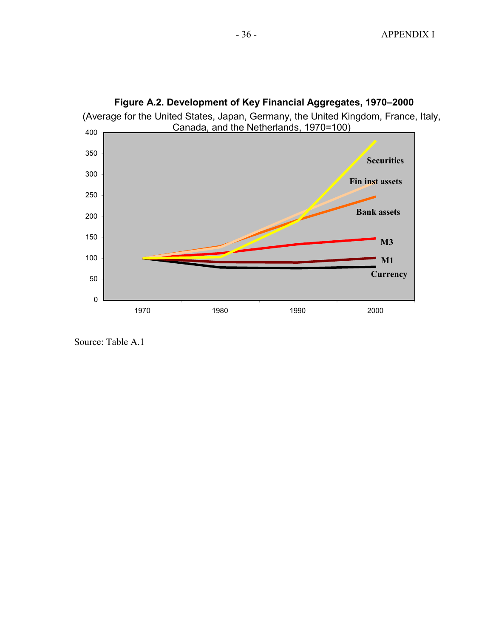

**Figure A.2. Development of Key Financial Aggregates, 1970–2000**

Source: Table A.1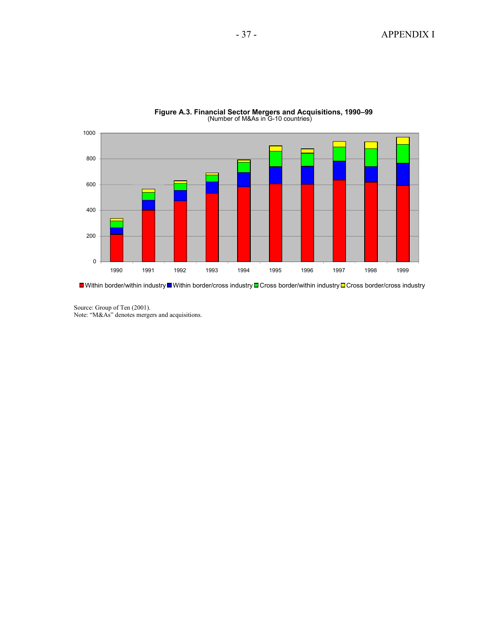

**Figure A.3. Financial Sector Mergers and Acquisitions, 1990–99**  (Number of M&As in G-10 countries)

■Within border/within industry■Within border/cross industry ■Cross border/within industry ■Cross border/cross industry

Source: Group of Ten (2001). Note: "M&As" denotes mergers and acquisitions.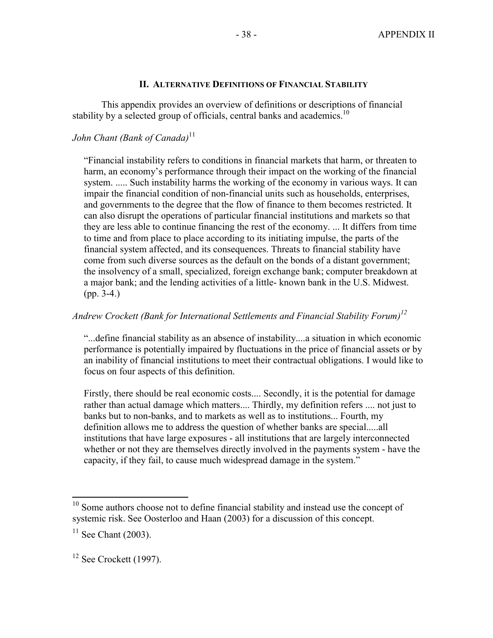#### **II. ALTERNATIVE DEFINITIONS OF FINANCIAL STABILITY**

This appendix provides an overview of definitions or descriptions of financial stability by a selected group of officials, central banks and academics.<sup>10</sup>

# *John Chant (Bank of Canada)*<sup>11</sup>

"Financial instability refers to conditions in financial markets that harm, or threaten to harm, an economy's performance through their impact on the working of the financial system. ..... Such instability harms the working of the economy in various ways. It can impair the financial condition of non-financial units such as households, enterprises, and governments to the degree that the flow of finance to them becomes restricted. It can also disrupt the operations of particular financial institutions and markets so that they are less able to continue financing the rest of the economy. ... It differs from time to time and from place to place according to its initiating impulse, the parts of the financial system affected, and its consequences. Threats to financial stability have come from such diverse sources as the default on the bonds of a distant government; the insolvency of a small, specialized, foreign exchange bank; computer breakdown at a major bank; and the lending activities of a little- known bank in the U.S. Midwest. (pp. 3-4.)

# *Andrew Crockett (Bank for International Settlements and Financial Stability Forum)12*

"...define financial stability as an absence of instability....a situation in which economic performance is potentially impaired by fluctuations in the price of financial assets or by an inability of financial institutions to meet their contractual obligations. I would like to focus on four aspects of this definition.

Firstly, there should be real economic costs.... Secondly, it is the potential for damage rather than actual damage which matters.... Thirdly, my definition refers .... not just to banks but to non-banks, and to markets as well as to institutions... Fourth, my definition allows me to address the question of whether banks are special.....all institutions that have large exposures - all institutions that are largely interconnected whether or not they are themselves directly involved in the payments system - have the capacity, if they fail, to cause much widespread damage in the system."

1

 $10$  Some authors choose not to define financial stability and instead use the concept of systemic risk. See Oosterloo and Haan (2003) for a discussion of this concept.

 $11$  See Chant (2003).

 $12$  See Crockett (1997).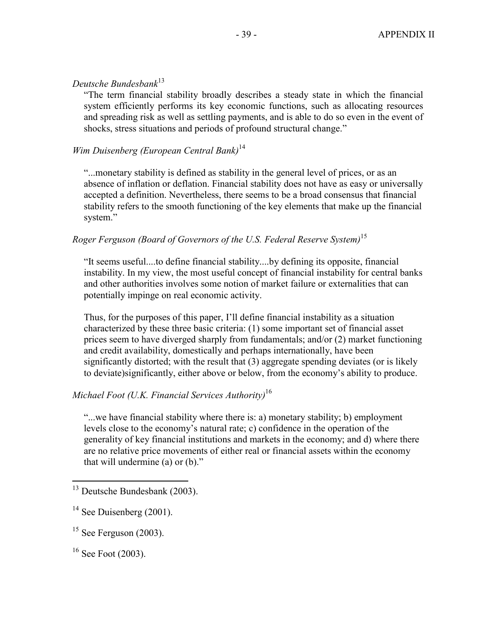# *Deutsche Bundesbank*<sup>13</sup>

"The term financial stability broadly describes a steady state in which the financial system efficiently performs its key economic functions, such as allocating resources and spreading risk as well as settling payments, and is able to do so even in the event of shocks, stress situations and periods of profound structural change."

# *Wim Duisenberg (European Central Bank)*<sup>14</sup>

"...monetary stability is defined as stability in the general level of prices, or as an absence of inflation or deflation. Financial stability does not have as easy or universally accepted a definition. Nevertheless, there seems to be a broad consensus that financial stability refers to the smooth functioning of the key elements that make up the financial system."

# *Roger Ferguson (Board of Governors of the U.S. Federal Reserve System)*<sup>15</sup>

"It seems useful....to define financial stability....by defining its opposite, financial instability. In my view, the most useful concept of financial instability for central banks and other authorities involves some notion of market failure or externalities that can potentially impinge on real economic activity.

Thus, for the purposes of this paper, I'll define financial instability as a situation characterized by these three basic criteria: (1) some important set of financial asset prices seem to have diverged sharply from fundamentals; and/or (2) market functioning and credit availability, domestically and perhaps internationally, have been significantly distorted; with the result that (3) aggregate spending deviates (or is likely to deviate)significantly, either above or below, from the economy's ability to produce.

# *Michael Foot (U.K. Financial Services Authority)*<sup>16</sup>

"...we have financial stability where there is: a) monetary stability; b) employment levels close to the economy's natural rate; c) confidence in the operation of the generality of key financial institutions and markets in the economy; and d) where there are no relative price movements of either real or financial assets within the economy that will undermine (a) or (b)."

 $\overline{a}$ 

<sup>&</sup>lt;sup>13</sup> Deutsche Bundesbank (2003).

 $14$  See Duisenberg (2001).

 $15$  See Ferguson (2003).

 $16$  See Foot (2003).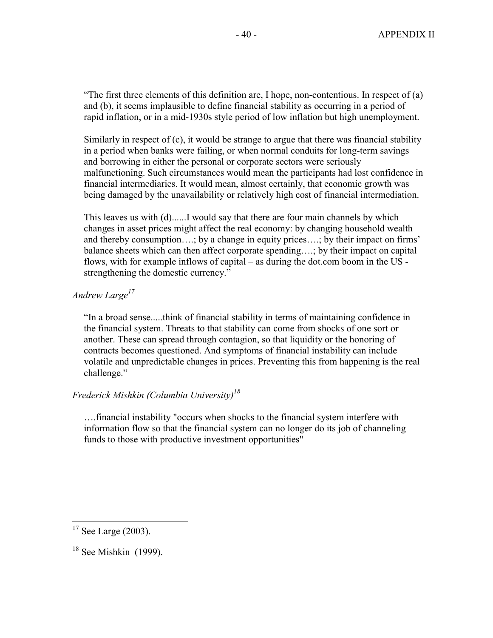"The first three elements of this definition are, I hope, non-contentious. In respect of (a) and (b), it seems implausible to define financial stability as occurring in a period of rapid inflation, or in a mid-1930s style period of low inflation but high unemployment.

Similarly in respect of (c), it would be strange to argue that there was financial stability in a period when banks were failing, or when normal conduits for long-term savings and borrowing in either the personal or corporate sectors were seriously malfunctioning. Such circumstances would mean the participants had lost confidence in financial intermediaries. It would mean, almost certainly, that economic growth was being damaged by the unavailability or relatively high cost of financial intermediation.

This leaves us with (d)......I would say that there are four main channels by which changes in asset prices might affect the real economy: by changing household wealth and thereby consumption….; by a change in equity prices….; by their impact on firms' balance sheets which can then affect corporate spending….; by their impact on capital flows, with for example inflows of capital – as during the dot.com boom in the US strengthening the domestic currency."

# *Andrew Large17*

"In a broad sense.....think of financial stability in terms of maintaining confidence in the financial system. Threats to that stability can come from shocks of one sort or another. These can spread through contagion, so that liquidity or the honoring of contracts becomes questioned. And symptoms of financial instability can include volatile and unpredictable changes in prices. Preventing this from happening is the real challenge."

# *Frederick Mishkin (Columbia University)18*

….financial instability "occurs when shocks to the financial system interfere with information flow so that the financial system can no longer do its job of channeling funds to those with productive investment opportunities"

 $\overline{a}$ 

 $17$  See Large (2003).

 $18$  See Mishkin (1999).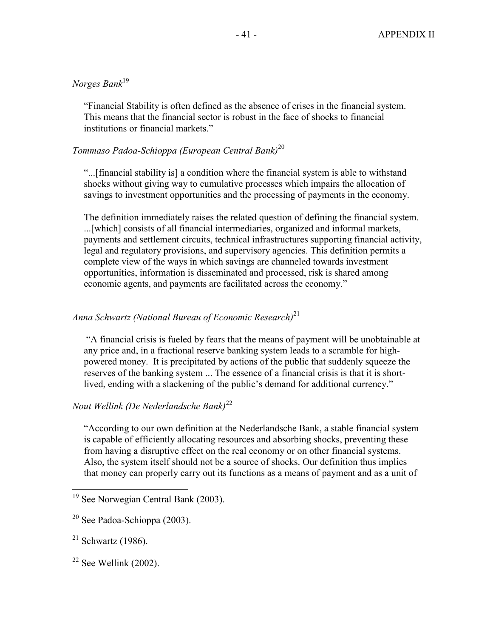# *Norges Bank*<sup>19</sup>

"Financial Stability is often defined as the absence of crises in the financial system. This means that the financial sector is robust in the face of shocks to financial institutions or financial markets."

# *Tommaso Padoa-Schioppa (European Central Bank)*<sup>20</sup>

"...[financial stability is] a condition where the financial system is able to withstand shocks without giving way to cumulative processes which impairs the allocation of savings to investment opportunities and the processing of payments in the economy.

The definition immediately raises the related question of defining the financial system. ...[which] consists of all financial intermediaries, organized and informal markets, payments and settlement circuits, technical infrastructures supporting financial activity, legal and regulatory provisions, and supervisory agencies. This definition permits a complete view of the ways in which savings are channeled towards investment opportunities, information is disseminated and processed, risk is shared among economic agents, and payments are facilitated across the economy."

# *Anna Schwartz (National Bureau of Economic Research)*<sup>21</sup>

 "A financial crisis is fueled by fears that the means of payment will be unobtainable at any price and, in a fractional reserve banking system leads to a scramble for highpowered money. It is precipitated by actions of the public that suddenly squeeze the reserves of the banking system ... The essence of a financial crisis is that it is shortlived, ending with a slackening of the public's demand for additional currency."

# *Nout Wellink (De Nederlandsche Bank)*<sup>22</sup>

"According to our own definition at the Nederlandsche Bank, a stable financial system is capable of efficiently allocating resources and absorbing shocks, preventing these from having a disruptive effect on the real economy or on other financial systems. Also, the system itself should not be a source of shocks. Our definition thus implies that money can properly carry out its functions as a means of payment and as a unit of

1

<sup>&</sup>lt;sup>19</sup> See Norwegian Central Bank (2003).

 $20$  See Padoa-Schioppa (2003).

 $21$  Schwartz (1986).

 $22$  See Wellink (2002).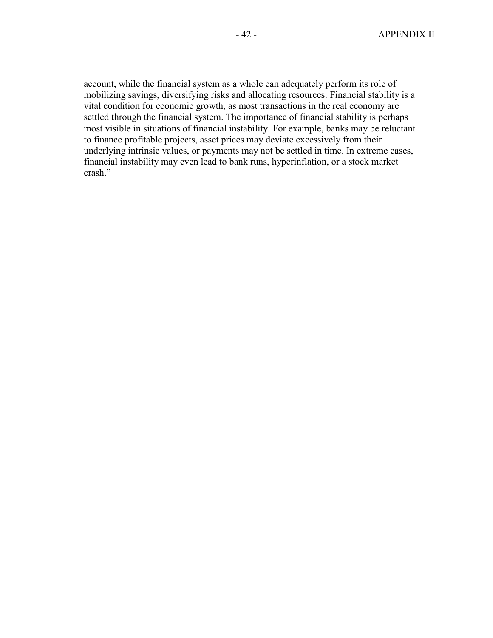account, while the financial system as a whole can adequately perform its role of mobilizing savings, diversifying risks and allocating resources. Financial stability is a vital condition for economic growth, as most transactions in the real economy are settled through the financial system. The importance of financial stability is perhaps most visible in situations of financial instability. For example, banks may be reluctant to finance profitable projects, asset prices may deviate excessively from their underlying intrinsic values, or payments may not be settled in time. In extreme cases, financial instability may even lead to bank runs, hyperinflation, or a stock market crash."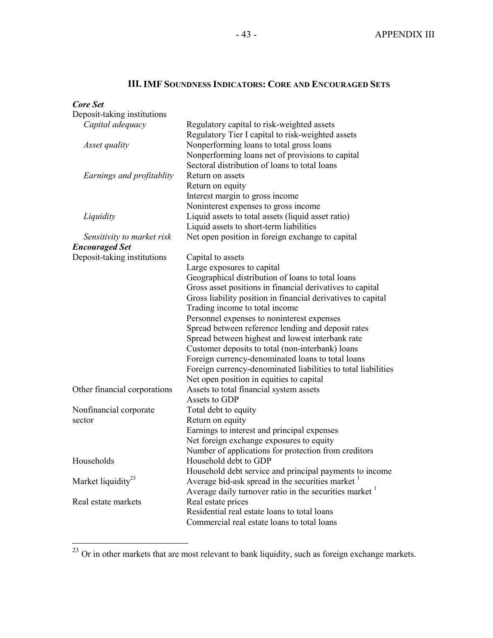# **III. IMF SOUNDNESS INDICATORS: CORE AND ENCOURAGED SETS**

| Core Set                       |                                                                                     |
|--------------------------------|-------------------------------------------------------------------------------------|
| Deposit-taking institutions    |                                                                                     |
| Capital adequacy               | Regulatory capital to risk-weighted assets                                          |
|                                | Regulatory Tier I capital to risk-weighted assets                                   |
| Asset quality                  | Nonperforming loans to total gross loans                                            |
|                                | Nonperforming loans net of provisions to capital                                    |
|                                | Sectoral distribution of loans to total loans                                       |
| Earnings and profitablity      | Return on assets                                                                    |
|                                | Return on equity                                                                    |
|                                | Interest margin to gross income                                                     |
|                                | Noninterest expenses to gross income                                                |
| Liquidity                      | Liquid assets to total assets (liquid asset ratio)                                  |
|                                | Liquid assets to short-term liabilities                                             |
| Sensitivity to market risk     | Net open position in foreign exchange to capital                                    |
| <b>Encouraged Set</b>          |                                                                                     |
| Deposit-taking institutions    | Capital to assets                                                                   |
|                                | Large exposures to capital                                                          |
|                                | Geographical distribution of loans to total loans                                   |
|                                | Gross asset positions in financial derivatives to capital                           |
|                                | Gross liability position in financial derivatives to capital                        |
|                                | Trading income to total income                                                      |
|                                | Personnel expenses to noninterest expenses                                          |
|                                | Spread between reference lending and deposit rates                                  |
|                                | Spread between highest and lowest interbank rate                                    |
|                                | Customer deposits to total (non-interbank) loans                                    |
|                                | Foreign currency-denominated loans to total loans                                   |
|                                | Foreign currency-denominated liabilities to total liabilities                       |
| Other financial corporations   | Net open position in equities to capital<br>Assets to total financial system assets |
|                                | Assets to GDP                                                                       |
| Nonfinancial corporate         | Total debt to equity                                                                |
| sector                         | Return on equity                                                                    |
|                                | Earnings to interest and principal expenses                                         |
|                                | Net foreign exchange exposures to equity                                            |
|                                | Number of applications for protection from creditors                                |
| Households                     | Household debt to GDP                                                               |
|                                | Household debt service and principal payments to income                             |
| Market liquidity <sup>23</sup> | Average bid-ask spread in the securities market                                     |
|                                | Average daily turnover ratio in the securities market                               |
| Real estate markets            | Real estate prices                                                                  |
|                                | Residential real estate loans to total loans                                        |
|                                | Commercial real estate loans to total loans                                         |
|                                |                                                                                     |

 $\overline{a}$ 

 $^{23}$  Or in other markets that are most relevant to bank liquidity, such as foreign exchange markets.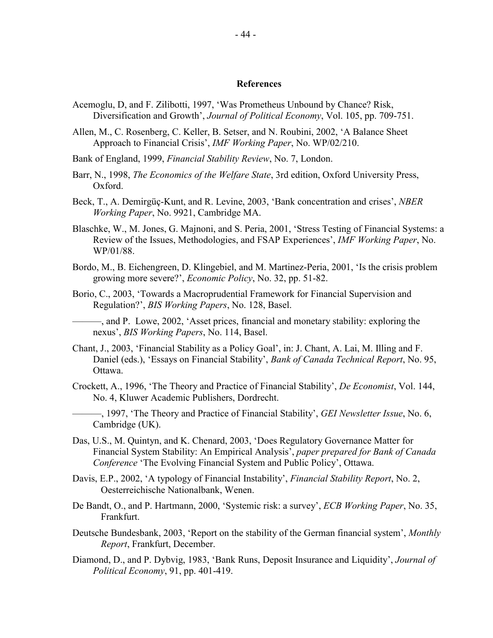#### **References**

- Acemoglu, D, and F. Zilibotti, 1997, 'Was Prometheus Unbound by Chance? Risk, Diversification and Growth', *Journal of Political Economy*, Vol. 105, pp. 709-751.
- Allen, M., C. Rosenberg, C. Keller, B. Setser, and N. Roubini, 2002, 'A Balance Sheet Approach to Financial Crisis', *IMF Working Paper*, No. WP/02/210.
- Bank of England, 1999, *Financial Stability Review*, No. 7, London.
- Barr, N., 1998, *The Economics of the Welfare State*, 3rd edition, Oxford University Press, Oxford.
- Beck, T., A. Demirgüç-Kunt, and R. Levine, 2003, 'Bank concentration and crises', *NBER Working Paper*, No. 9921, Cambridge MA.
- Blaschke, W., M. Jones, G. Majnoni, and S. Peria, 2001, 'Stress Testing of Financial Systems: a Review of the Issues, Methodologies, and FSAP Experiences', *IMF Working Paper*, No. WP/01/88.
- Bordo, M., B. Eichengreen, D. Klingebiel, and M. Martinez-Peria, 2001, 'Is the crisis problem growing more severe?', *Economic Policy*, No. 32, pp. 51-82.
- Borio, C., 2003, 'Towards a Macroprudential Framework for Financial Supervision and Regulation?', *BIS Working Papers*, No. 128, Basel.

———, and P. Lowe, 2002, 'Asset prices, financial and monetary stability: exploring the nexus', *BIS Working Papers*, No. 114, Basel.

- Chant, J., 2003, 'Financial Stability as a Policy Goal', in: J. Chant, A. Lai, M. Illing and F. Daniel (eds.), 'Essays on Financial Stability', *Bank of Canada Technical Report*, No. 95, Ottawa.
- Crockett, A., 1996, 'The Theory and Practice of Financial Stability', *De Economist*, Vol. 144, No. 4, Kluwer Academic Publishers, Dordrecht.
- ———, 1997, 'The Theory and Practice of Financial Stability', *GEI Newsletter Issue*, No. 6, Cambridge (UK).
- Das, U.S., M. Quintyn, and K. Chenard, 2003, 'Does Regulatory Governance Matter for Financial System Stability: An Empirical Analysis', *paper prepared for Bank of Canada Conference* 'The Evolving Financial System and Public Policy', Ottawa.
- Davis, E.P., 2002, 'A typology of Financial Instability', *Financial Stability Report*, No. 2, Oesterreichische Nationalbank, Wenen.
- De Bandt, O., and P. Hartmann, 2000, 'Systemic risk: a survey', *ECB Working Paper*, No. 35, Frankfurt.
- Deutsche Bundesbank, 2003, 'Report on the stability of the German financial system', *Monthly Report*, Frankfurt, December.
- Diamond, D., and P. Dybvig, 1983, 'Bank Runs, Deposit Insurance and Liquidity', *Journal of Political Economy*, 91, pp. 401-419.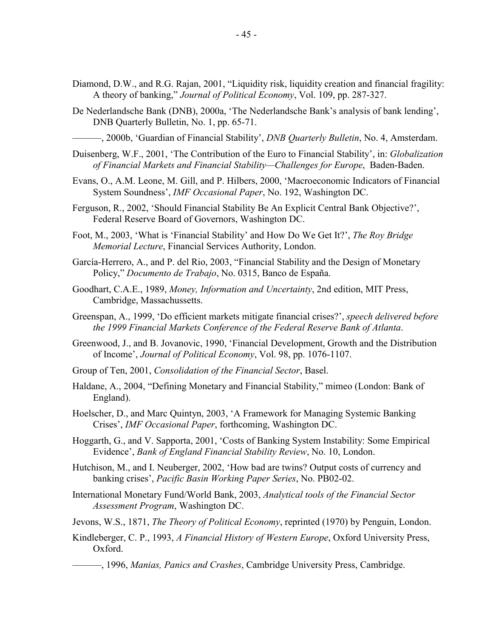- Diamond, D.W., and R.G. Rajan, 2001, "Liquidity risk, liquidity creation and financial fragility: A theory of banking," *Journal of Political Economy*, Vol. 109, pp. 287-327.
- De Nederlandsche Bank (DNB), 2000a, 'The Nederlandsche Bank's analysis of bank lending', DNB Quarterly Bulletin, No. 1, pp. 65-71.

———, 2000b, 'Guardian of Financial Stability', *DNB Quarterly Bulletin*, No. 4, Amsterdam.

- Duisenberg, W.F., 2001, 'The Contribution of the Euro to Financial Stability', in: *Globalization of Financial Markets and Financial Stability—Challenges for Europe*, Baden-Baden.
- Evans, O., A.M. Leone, M. Gill, and P. Hilbers, 2000, 'Macroeconomic Indicators of Financial System Soundness', *IMF Occasional Paper*, No. 192, Washington DC.
- Ferguson, R., 2002, 'Should Financial Stability Be An Explicit Central Bank Objective?', Federal Reserve Board of Governors, Washington DC.
- Foot, M., 2003, 'What is 'Financial Stability' and How Do We Get It?', *The Roy Bridge Memorial Lecture*, Financial Services Authority, London.
- García-Herrero, A., and P. del Rio, 2003, "Financial Stability and the Design of Monetary Policy," *Documento de Trabajo*, No. 0315, Banco de España.
- Goodhart, C.A.E., 1989, *Money, Information and Uncertainty*, 2nd edition, MIT Press, Cambridge, Massachussetts.
- Greenspan, A., 1999, 'Do efficient markets mitigate financial crises?', *speech delivered before the 1999 Financial Markets Conference of the Federal Reserve Bank of Atlanta*.
- Greenwood, J., and B. Jovanovic, 1990, 'Financial Development, Growth and the Distribution of Income', *Journal of Political Economy*, Vol. 98, pp. 1076-1107.
- Group of Ten, 2001, *Consolidation of the Financial Sector*, Basel.
- Haldane, A., 2004, "Defining Monetary and Financial Stability," mimeo (London: Bank of England).
- Hoelscher, D., and Marc Quintyn, 2003, 'A Framework for Managing Systemic Banking Crises', *IMF Occasional Paper*, forthcoming, Washington DC.
- Hoggarth, G., and V. Sapporta, 2001, 'Costs of Banking System Instability: Some Empirical Evidence', *Bank of England Financial Stability Review*, No. 10, London.
- Hutchison, M., and I. Neuberger, 2002, 'How bad are twins? Output costs of currency and banking crises', *Pacific Basin Working Paper Series*, No. PB02-02.
- International Monetary Fund/World Bank, 2003, *Analytical tools of the Financial Sector Assessment Program*, Washington DC.
- Jevons, W.S., 1871, *The Theory of Political Economy*, reprinted (1970) by Penguin, London.
- Kindleberger, C. P., 1993, *A Financial History of Western Europe*, Oxford University Press, Oxford.

———, 1996, *Manias, Panics and Crashes*, Cambridge University Press, Cambridge.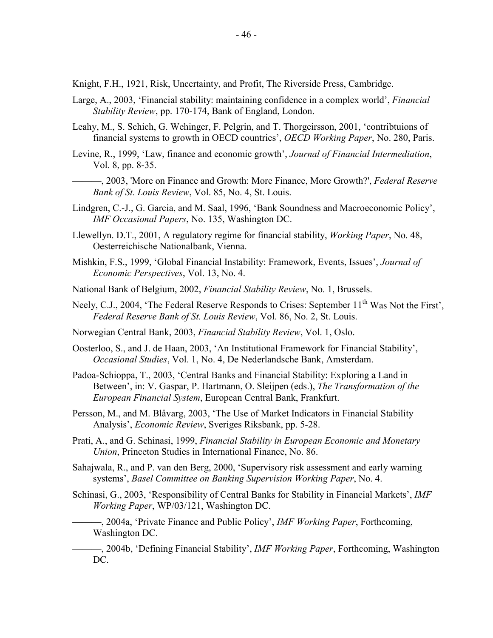Knight, F.H., 1921, Risk, Uncertainty, and Profit, The Riverside Press, Cambridge.

- Large, A., 2003, 'Financial stability: maintaining confidence in a complex world', *Financial Stability Review*, pp. 170-174, Bank of England, London.
- Leahy, M., S. Schich, G. Wehinger, F. Pelgrin, and T. Thorgeirsson, 2001, 'contribtuions of financial systems to growth in OECD countries', *OECD Working Paper*, No. 280, Paris.
- Levine, R., 1999, 'Law, finance and economic growth', *Journal of Financial Intermediation*, Vol. 8, pp. 8-35.
- ———, 2003, 'More on Finance and Growth: More Finance, More Growth?', *Federal Reserve Bank of St. Louis Review*, Vol. 85, No. 4, St. Louis.
- Lindgren, C.-J., G. Garcia, and M. Saal, 1996, 'Bank Soundness and Macroeconomic Policy', *IMF Occasional Papers*, No. 135, Washington DC.
- Llewellyn. D.T., 2001, A regulatory regime for financial stability, *Working Paper*, No. 48, Oesterreichische Nationalbank, Vienna.
- Mishkin, F.S., 1999, 'Global Financial Instability: Framework, Events, Issues', *Journal of Economic Perspectives*, Vol. 13, No. 4.
- National Bank of Belgium, 2002, *Financial Stability Review*, No. 1, Brussels.
- Neely, C.J., 2004, 'The Federal Reserve Responds to Crises: September 11<sup>th</sup> Was Not the First'. *Federal Reserve Bank of St. Louis Review*, Vol. 86, No. 2, St. Louis.
- Norwegian Central Bank, 2003, *Financial Stability Review*, Vol. 1, Oslo.
- Oosterloo, S., and J. de Haan, 2003, 'An Institutional Framework for Financial Stability', *Occasional Studies*, Vol. 1, No. 4, De Nederlandsche Bank, Amsterdam.
- Padoa-Schioppa, T., 2003, 'Central Banks and Financial Stability: Exploring a Land in Between', in: V. Gaspar, P. Hartmann, O. Sleijpen (eds.), *The Transformation of the European Financial System*, European Central Bank, Frankfurt.
- Persson, M., and M. Blåvarg, 2003, 'The Use of Market Indicators in Financial Stability Analysis', *Economic Review*, Sveriges Riksbank, pp. 5-28.
- Prati, A., and G. Schinasi, 1999, *Financial Stability in European Economic and Monetary Union*, Princeton Studies in International Finance, No. 86.
- Sahajwala, R., and P. van den Berg, 2000, 'Supervisory risk assessment and early warning systems', *Basel Committee on Banking Supervision Working Paper*, No. 4.
- Schinasi, G., 2003, 'Responsibility of Central Banks for Stability in Financial Markets', *IMF Working Paper*, WP/03/121, Washington DC.

———, 2004a, 'Private Finance and Public Policy', *IMF Working Paper*, Forthcoming, Washington DC.

———, 2004b, 'Defining Financial Stability', *IMF Working Paper*, Forthcoming, Washington DC.